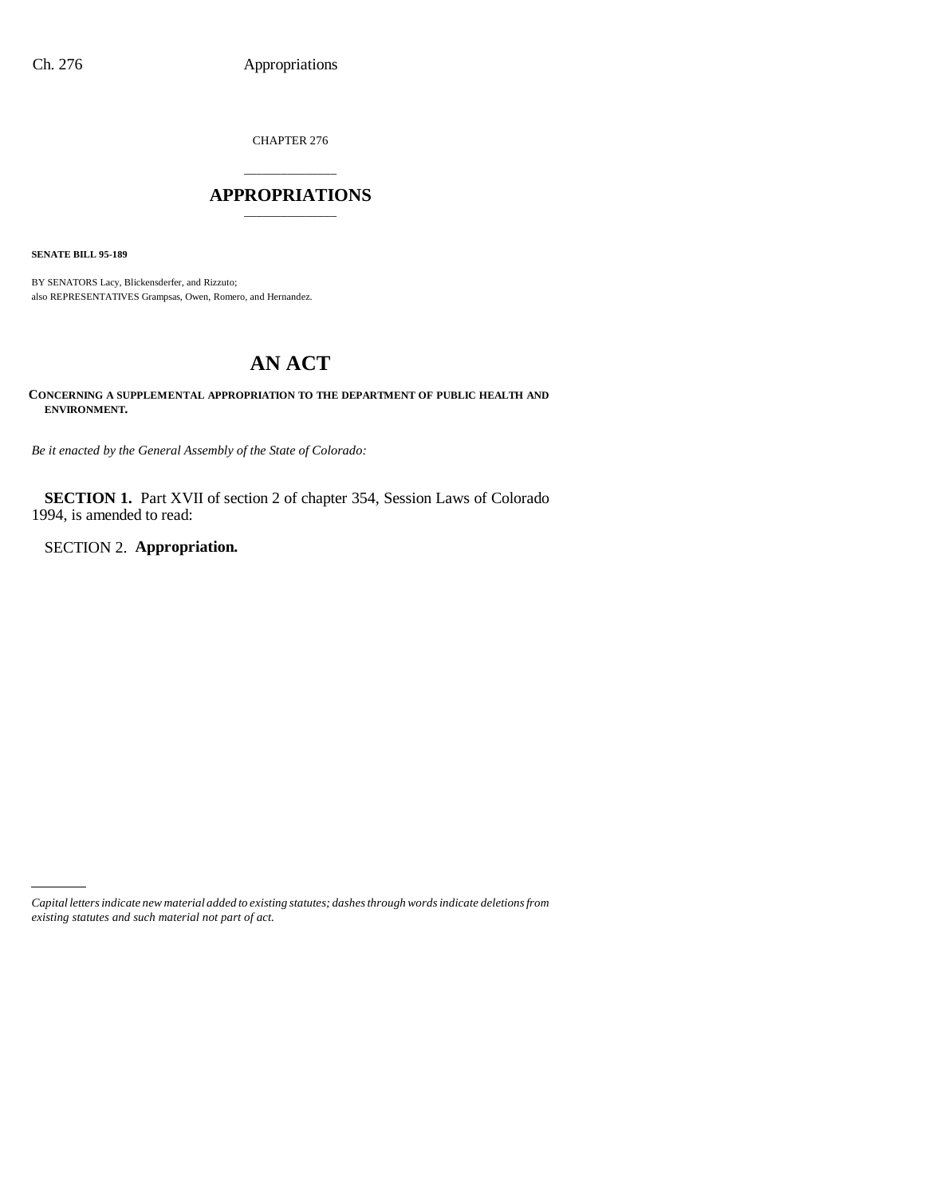CHAPTER 276

## \_\_\_\_\_\_\_\_\_\_\_\_\_\_\_ **APPROPRIATIONS** \_\_\_\_\_\_\_\_\_\_\_\_\_\_\_

**SENATE BILL 95-189**

BY SENATORS Lacy, Blickensderfer, and Rizzuto; also REPRESENTATIVES Grampsas, Owen, Romero, and Hernandez.

# **AN ACT**

**CONCERNING A SUPPLEMENTAL APPROPRIATION TO THE DEPARTMENT OF PUBLIC HEALTH AND ENVIRONMENT.**

*Be it enacted by the General Assembly of the State of Colorado:*

**SECTION 1.** Part XVII of section 2 of chapter 354, Session Laws of Colorado 1994, is amended to read:

SECTION 2. **Appropriation.**

*Capital letters indicate new material added to existing statutes; dashes through words indicate deletions from existing statutes and such material not part of act.*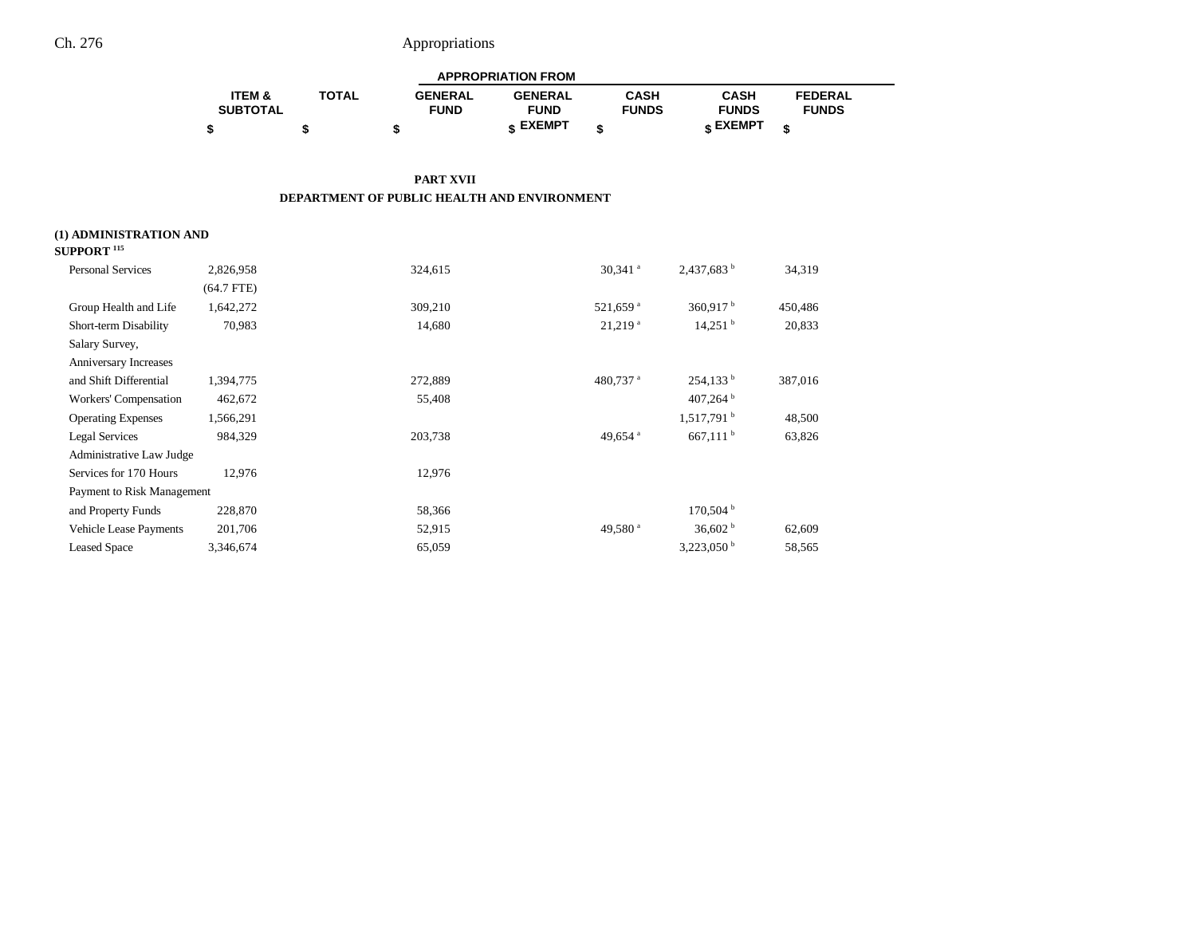| <b>APPROPRIATION FROM</b> |              |                |                 |              |              |                |  |
|---------------------------|--------------|----------------|-----------------|--------------|--------------|----------------|--|
| <b>ITEM &amp;</b>         | <b>TOTAL</b> | <b>GENERAL</b> | <b>GENERAL</b>  | CASH         | <b>CASH</b>  | <b>FEDERAL</b> |  |
| <b>SUBTOTAL</b>           |              | <b>FUND</b>    | <b>FUND</b>     | <b>FUNDS</b> | <b>FUNDS</b> | <b>FUNDS</b>   |  |
|                           |              |                | <b>« EXEMPT</b> |              | e EXEMPT ہ   |                |  |

### **PART XVII DEPARTMENT OF PUBLIC HEALTH AND ENVIRONMENT**

### **(1) ADMINISTRATION AND**

| SUPPORT <sup>115</sup>        |              |         |                       |                          |         |
|-------------------------------|--------------|---------|-----------------------|--------------------------|---------|
| <b>Personal Services</b>      | 2,826,958    | 324,615 | $30,341$ <sup>a</sup> | $2,437,683$ <sup>b</sup> | 34,319  |
|                               | $(64.7$ FTE) |         |                       |                          |         |
| Group Health and Life         | 1,642,272    | 309,210 | 521,659 <sup>a</sup>  | $360,917$ <sup>b</sup>   | 450,486 |
| Short-term Disability         | 70,983       | 14,680  | $21,219$ <sup>a</sup> | $14,251$ <sup>b</sup>    | 20,833  |
| Salary Survey,                |              |         |                       |                          |         |
| Anniversary Increases         |              |         |                       |                          |         |
| and Shift Differential        | 1,394,775    | 272,889 | 480,737 <sup>a</sup>  | $254,133^{\mathrm{b}}$   | 387,016 |
| Workers' Compensation         | 462,672      | 55,408  |                       | 407,264                  |         |
| <b>Operating Expenses</b>     | 1,566,291    |         |                       | $1,517,791$ <sup>b</sup> | 48,500  |
| Legal Services                | 984,329      | 203,738 | 49,654 <sup>a</sup>   | $667,111$ b              | 63,826  |
| Administrative Law Judge      |              |         |                       |                          |         |
| Services for 170 Hours        | 12,976       | 12,976  |                       |                          |         |
| Payment to Risk Management    |              |         |                       |                          |         |
| and Property Funds            | 228,870      | 58,366  |                       | $170,504$ b              |         |
| <b>Vehicle Lease Payments</b> | 201,706      | 52,915  | 49,580 <sup>a</sup>   | 36,602 $^{\rm b}$        | 62,609  |
| <b>Leased Space</b>           | 3,346,674    | 65,059  |                       | $3,223,050$ <sup>b</sup> | 58,565  |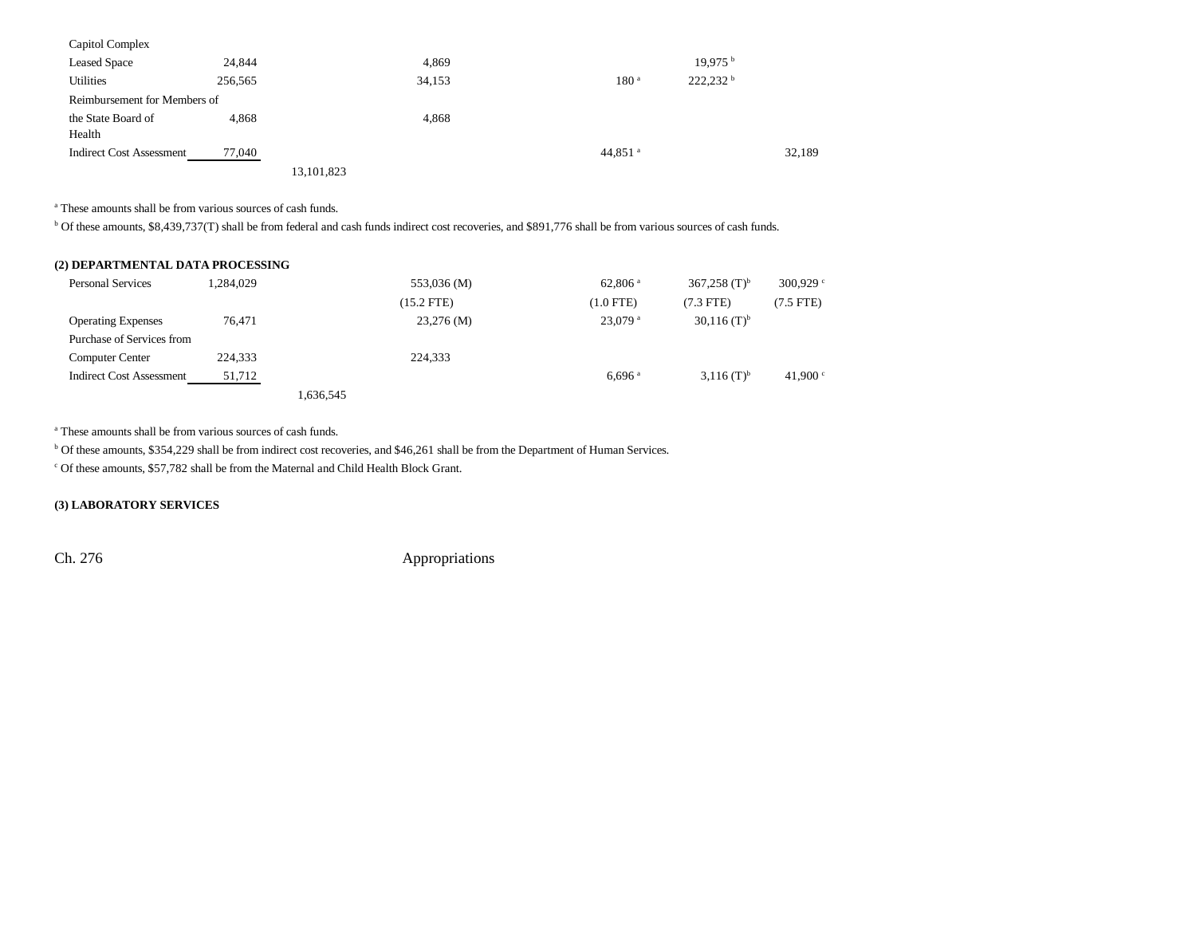| Capitol Complex                 |         |            |        |                     |                        |        |
|---------------------------------|---------|------------|--------|---------------------|------------------------|--------|
| <b>Leased Space</b>             | 24,844  |            | 4,869  |                     | 19.975 <sup>b</sup>    |        |
| Utilities                       | 256,565 |            | 34,153 | 180 <sup>a</sup>    | $222,232$ <sup>b</sup> |        |
| Reimbursement for Members of    |         |            |        |                     |                        |        |
| the State Board of              | 4.868   |            | 4,868  |                     |                        |        |
| Health                          |         |            |        |                     |                        |        |
| <b>Indirect Cost Assessment</b> | 77,040  |            |        | 44,851 <sup>a</sup> |                        | 32,189 |
|                                 |         | 13.101.823 |        |                     |                        |        |

a These amounts shall be from various sources of cash funds.

b Of these amounts, \$8,439,737(T) shall be from federal and cash funds indirect cost recoveries, and \$891,776 shall be from various sources of cash funds.

| (2) DEPARTMENTAL DATA PROCESSING |           |           |              |                       |                          |                   |
|----------------------------------|-----------|-----------|--------------|-----------------------|--------------------------|-------------------|
| <b>Personal Services</b>         | 1.284.029 |           | 553,036 (M)  | $62,806$ <sup>a</sup> | 367,258 $(T)^b$          | 300,929 $\degree$ |
|                                  |           |           | $(15.2$ FTE) | $(1.0$ FTE)           | $(7.3$ FTE)              | $(7.5$ FTE)       |
| <b>Operating Expenses</b>        | 76.471    |           | $23,276$ (M) | $23.079$ <sup>a</sup> | $(30,116)$ $(T)^{b}$     |                   |
| Purchase of Services from        |           |           |              |                       |                          |                   |
| <b>Computer Center</b>           | 224,333   |           | 224.333      |                       |                          |                   |
| <b>Indirect Cost Assessment</b>  | 51,712    |           |              | $6.696$ <sup>a</sup>  | $3,116$ (T) <sup>b</sup> | 41,900 $\degree$  |
|                                  |           | 1,636,545 |              |                       |                          |                   |

a These amounts shall be from various sources of cash funds.

b Of these amounts, \$354,229 shall be from indirect cost recoveries, and \$46,261 shall be from the Department of Human Services.

c Of these amounts, \$57,782 shall be from the Maternal and Child Health Block Grant.

### **(3) LABORATORY SERVICES**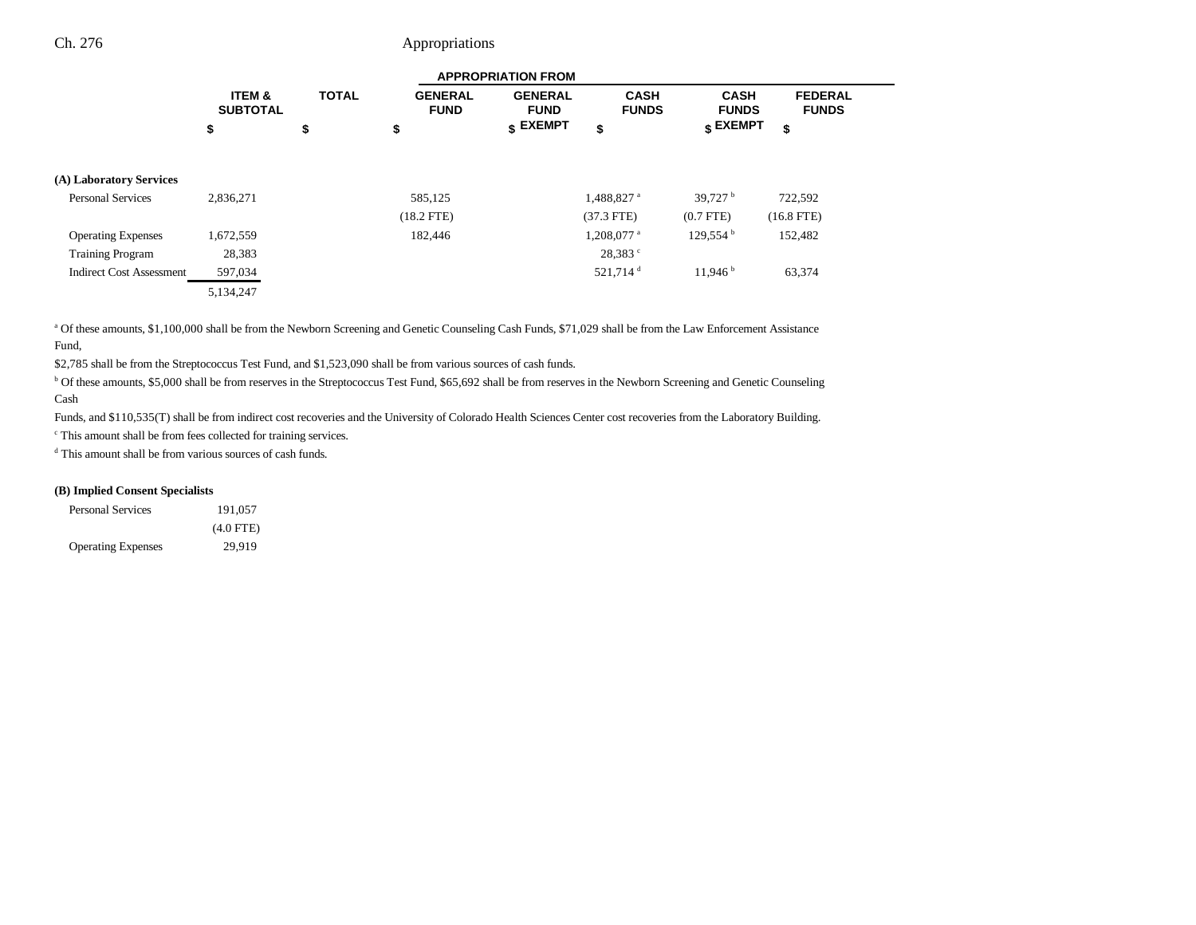|                                 | <b>APPROPRIATION FROM</b> |              |                               |                                  |                             |                                        |                                |  |
|---------------------------------|---------------------------|--------------|-------------------------------|----------------------------------|-----------------------------|----------------------------------------|--------------------------------|--|
|                                 | ITEM &<br><b>SUBTOTAL</b> | <b>TOTAL</b> | <b>GENERAL</b><br><b>FUND</b> | <b>GENERAL</b><br><b>FUND</b>    | <b>CASH</b><br><b>FUNDS</b> | <b>CASH</b><br><b>FUNDS</b>            | <b>FEDERAL</b><br><b>FUNDS</b> |  |
|                                 | \$                        | \$           | \$                            | $\boldsymbol{\mathsf{s}}$ EXEMPT | \$                          | $\boldsymbol{\mathsf{s}}$ EXEMPT<br>\$ |                                |  |
| (A) Laboratory Services         |                           |              |                               |                                  |                             |                                        |                                |  |
| <b>Personal Services</b>        | 2,836,271                 |              | 585,125                       |                                  | 1,488,827 <sup>a</sup>      | 39,727 $^{\rm b}$                      | 722,592                        |  |
|                                 |                           |              | $(18.2$ FTE)                  |                                  | $(37.3$ FTE)                | $(0.7$ FTE)                            | $(16.8$ FTE)                   |  |
| <b>Operating Expenses</b>       | 1,672,559                 |              | 182,446                       |                                  | $1,208,077$ <sup>a</sup>    | 129,554                                | 152,482                        |  |
| <b>Training Program</b>         | 28,383                    |              |                               |                                  | 28,383 °                    |                                        |                                |  |
| <b>Indirect Cost Assessment</b> | 597,034                   |              |                               |                                  | 521,714 <sup>d</sup>        | 11,946                                 | 63,374                         |  |
|                                 | 5,134,247                 |              |                               |                                  |                             |                                        |                                |  |

a Of these amounts, \$1,100,000 shall be from the Newborn Screening and Genetic Counseling Cash Funds, \$71,029 shall be from the Law Enforcement Assistance Fund,

\$2,785 shall be from the Streptococcus Test Fund, and \$1,523,090 shall be from various sources of cash funds.

b Of these amounts, \$5,000 shall be from reserves in the Streptococcus Test Fund, \$65,692 shall be from reserves in the Newborn Screening and Genetic Counseling Cash

Funds, and \$110,535(T) shall be from indirect cost recoveries and the University of Colorado Health Sciences Center cost recoveries from the Laboratory Building.

c This amount shall be from fees collected for training services.

d This amount shall be from various sources of cash funds.

### **(B) Implied Consent Specialists**

| <b>Personal Services</b>  | 191.057     |
|---------------------------|-------------|
|                           | $(4.0$ FTE) |
| <b>Operating Expenses</b> | 29.919      |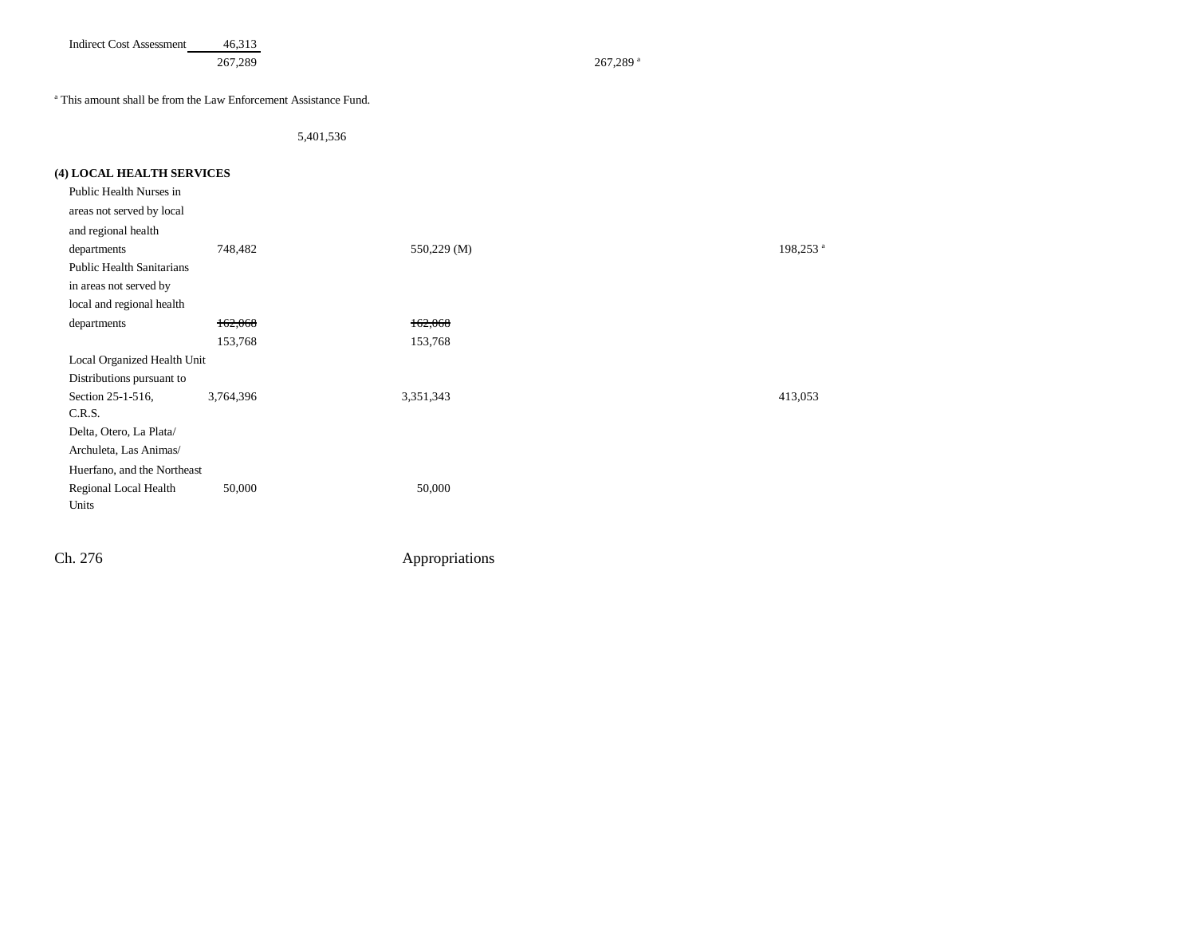Indirect Cost Assessment 46,313

267,289 a 267,289 a 267,289 a 267,289 a 267,289 a 267,289 a 267,289 a 267,289 a 267,289 a 267,289 a 267,289 a 267,289 a 267,289 a 267,289 a 267,289 a 267,289 a 267,289 a 267,289 a 267,289 a 267,289 a 267,289 a 267,289 a 26

a This amount shall be from the Law Enforcement Assistance Fund.

5,401,536

| (4) LOCAL HEALTH SERVICES        |           |             |                      |
|----------------------------------|-----------|-------------|----------------------|
| Public Health Nurses in          |           |             |                      |
| areas not served by local        |           |             |                      |
| and regional health              |           |             |                      |
| departments                      | 748,482   | 550,229 (M) | 198,253 <sup>a</sup> |
| <b>Public Health Sanitarians</b> |           |             |                      |
| in areas not served by           |           |             |                      |
| local and regional health        |           |             |                      |
| departments                      | 162,068   | 162,068     |                      |
|                                  | 153,768   | 153,768     |                      |
| Local Organized Health Unit      |           |             |                      |
| Distributions pursuant to        |           |             |                      |
| Section 25-1-516,                | 3,764,396 | 3,351,343   | 413,053              |
| C.R.S.                           |           |             |                      |
| Delta, Otero, La Plata/          |           |             |                      |
| Archuleta, Las Animas/           |           |             |                      |
| Huerfano, and the Northeast      |           |             |                      |
| Regional Local Health            | 50,000    | 50,000      |                      |
| Units                            |           |             |                      |
|                                  |           |             |                      |
|                                  |           |             |                      |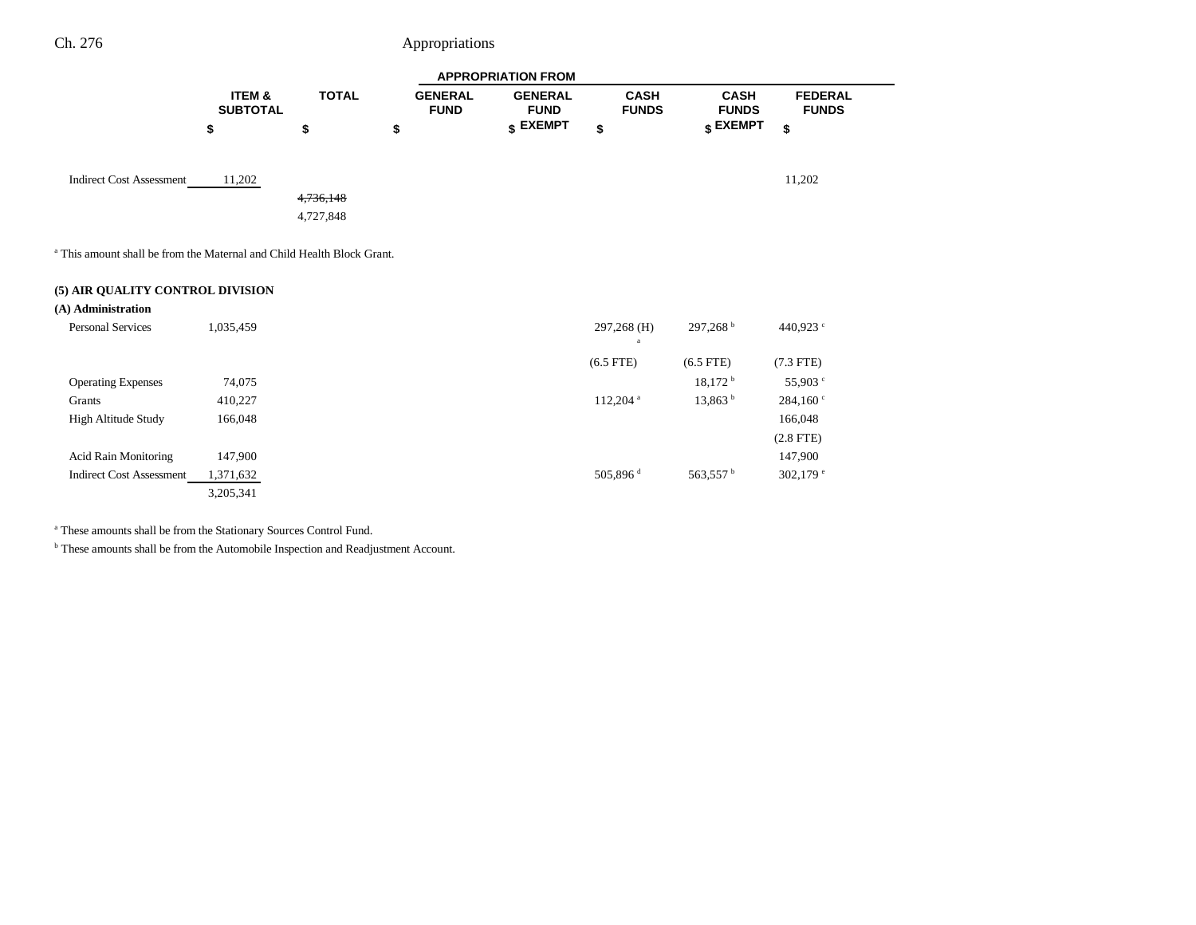|                                                                                   | <b>APPROPRIATION FROM</b>            |              |                               |                               |                             |                                  |                                |
|-----------------------------------------------------------------------------------|--------------------------------------|--------------|-------------------------------|-------------------------------|-----------------------------|----------------------------------|--------------------------------|
|                                                                                   | <b>ITEM &amp;</b><br><b>SUBTOTAL</b> | <b>TOTAL</b> | <b>GENERAL</b><br><b>FUND</b> | <b>GENERAL</b><br><b>FUND</b> | <b>CASH</b><br><b>FUNDS</b> | <b>CASH</b><br><b>FUNDS</b>      | <b>FEDERAL</b><br><b>FUNDS</b> |
|                                                                                   | \$                                   | \$           | \$                            | $\sqrt{s}$ EXEMPT             | \$                          | $\boldsymbol{\mathsf{s}}$ EXEMPT | \$                             |
| <b>Indirect Cost Assessment</b>                                                   | 11,202                               |              |                               |                               |                             |                                  | 11,202                         |
|                                                                                   |                                      | 4,736,148    |                               |                               |                             |                                  |                                |
|                                                                                   |                                      | 4,727,848    |                               |                               |                             |                                  |                                |
| <sup>a</sup> This amount shall be from the Maternal and Child Health Block Grant. |                                      |              |                               |                               |                             |                                  |                                |
| (5) AIR QUALITY CONTROL DIVISION                                                  |                                      |              |                               |                               |                             |                                  |                                |
| (A) Administration                                                                |                                      |              |                               |                               |                             |                                  |                                |

| <b>Personal Services</b>        | 1,035,459 | $297,268^{\text{b}}$<br>297,268 (H)         | 440,923 $\degree$ |
|---------------------------------|-----------|---------------------------------------------|-------------------|
|                                 |           | $(6.5$ FTE)<br>$(6.5$ FTE)                  | $(7.3$ FTE)       |
| <b>Operating Expenses</b>       | 74,075    | 18,172 h                                    | 55,903 °          |
| Grants                          | 410,227   | 13,863 <sup>b</sup><br>112,204 <sup>a</sup> | 284,160°          |
| High Altitude Study             | 166,048   |                                             | 166,048           |
|                                 |           |                                             | $(2.8$ FTE)       |
| <b>Acid Rain Monitoring</b>     | 147,900   |                                             | 147,900           |
| <b>Indirect Cost Assessment</b> | 1,371,632 | 505,896 $d$<br>563,557 <sup>b</sup>         | 302,179 $e$       |
|                                 | 3,205,341 |                                             |                   |

a These amounts shall be from the Stationary Sources Control Fund.

 $^{\rm b}$  These amounts shall be from the Automobile Inspection and Readjustment Account.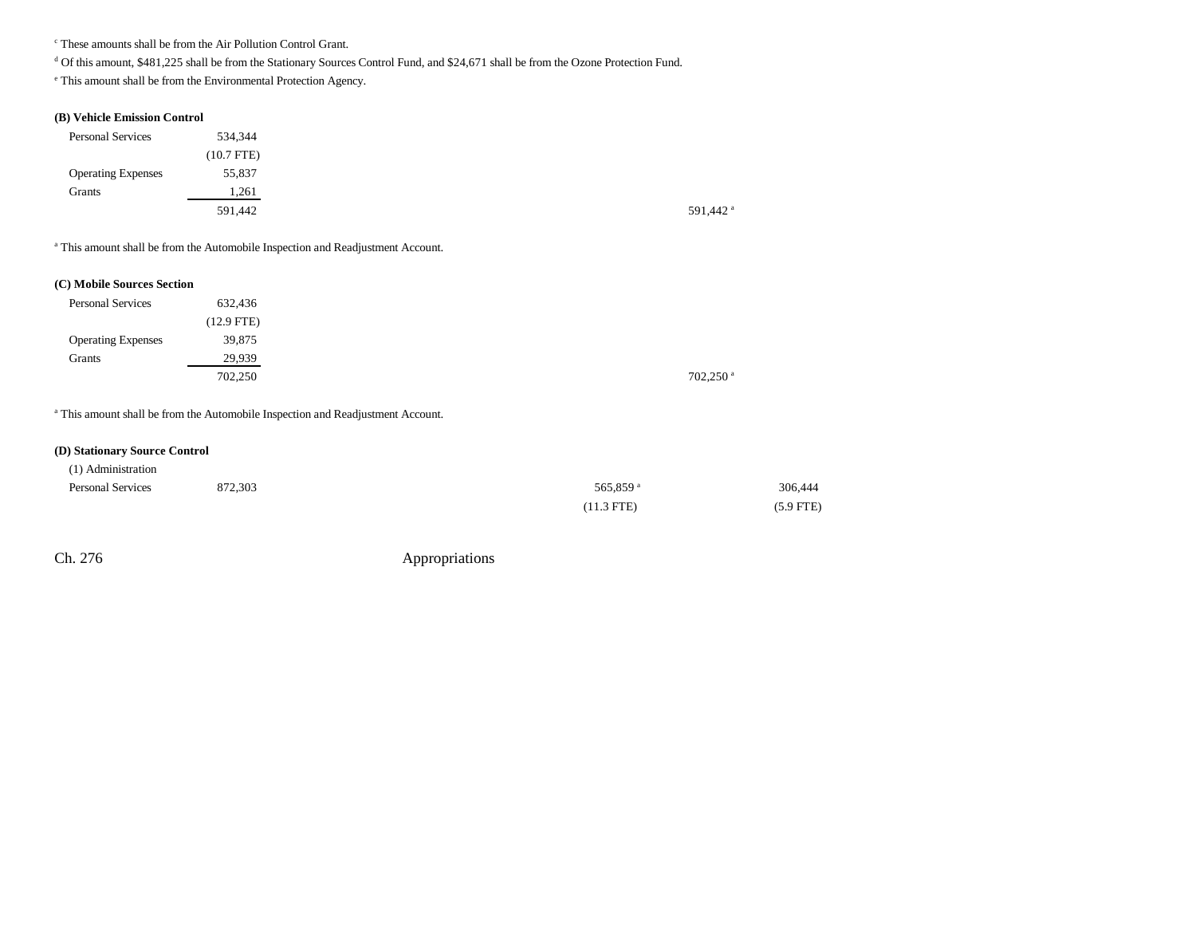c These amounts shall be from the Air Pollution Control Grant.

<sup>d</sup> Of this amount, \$481,225 shall be from the Stationary Sources Control Fund, and \$24,671 shall be from the Ozone Protection Fund.

e This amount shall be from the Environmental Protection Agency.

### **(B) Vehicle Emission Control**

| <b>Personal Services</b>  | 534,344      |
|---------------------------|--------------|
|                           | $(10.7$ FTE) |
| <b>Operating Expenses</b> | 55,837       |
| Grants                    | 1,261        |
|                           | 591,442      |

<sup>a</sup> This amount shall be from the Automobile Inspection and Readjustment Account.

#### **(C) Mobile Sources Section**

| <b>Personal Services</b>  | 632,436      |
|---------------------------|--------------|
|                           | $(12.9$ FTE) |
| <b>Operating Expenses</b> | 39,875       |
| Grants                    | 29,939       |
|                           | 702,250      |

<sup>a</sup> This amount shall be from the Automobile Inspection and Readjustment Account.

#### **(D) Stationary Source Control**

| (1) Administration       |         |                      |             |
|--------------------------|---------|----------------------|-------------|
| <b>Personal Services</b> | 872,303 | 565.859 <sup>a</sup> | 306,444     |
|                          |         | $(11.3$ FTE)         | $(5.9$ FTE) |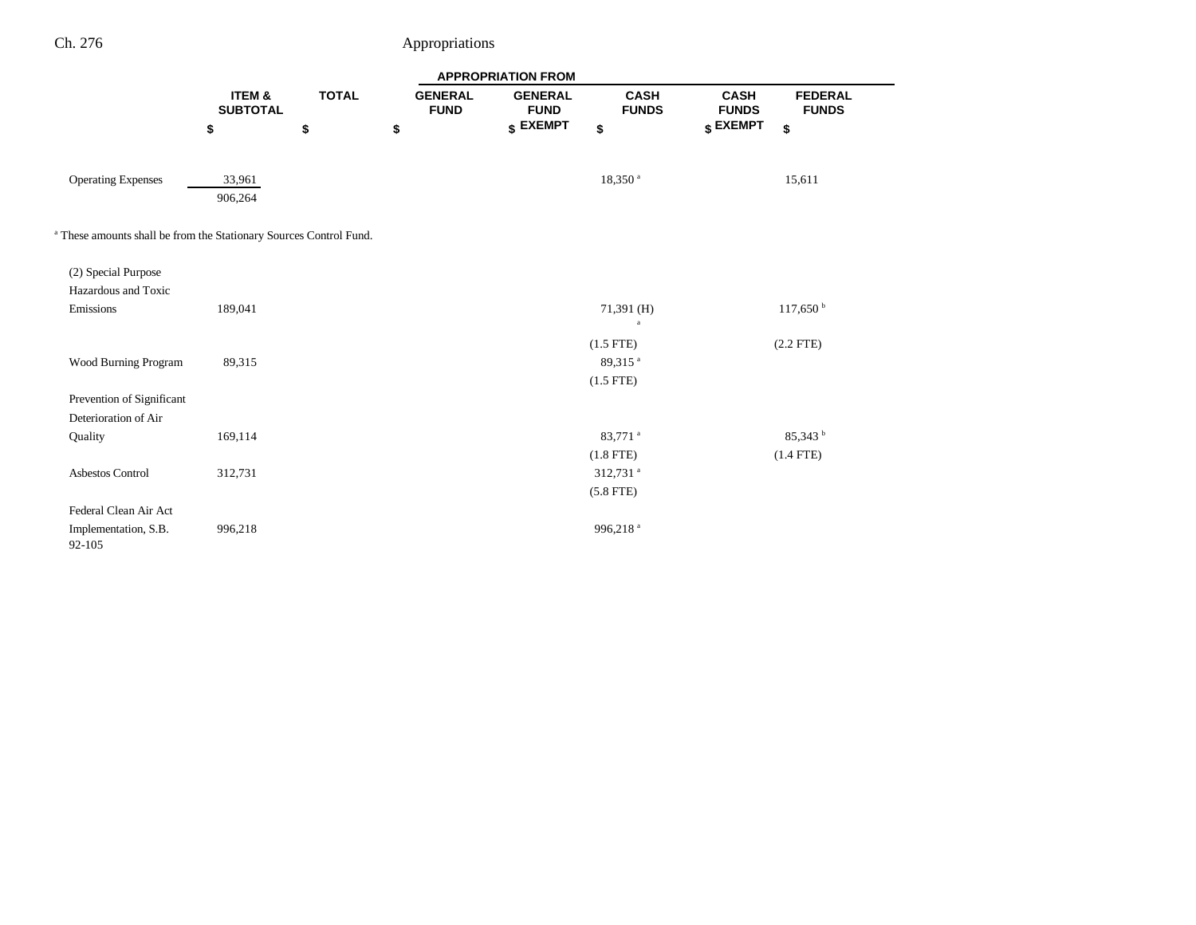|                                                                               | <b>APPROPRIATION FROM</b> |              |                               |                               |                                     |                             |                                |  |
|-------------------------------------------------------------------------------|---------------------------|--------------|-------------------------------|-------------------------------|-------------------------------------|-----------------------------|--------------------------------|--|
|                                                                               | ITEM &<br><b>SUBTOTAL</b> | <b>TOTAL</b> | <b>GENERAL</b><br><b>FUND</b> | <b>GENERAL</b><br><b>FUND</b> | <b>CASH</b><br><b>FUNDS</b>         | <b>CASH</b><br><b>FUNDS</b> | <b>FEDERAL</b><br><b>FUNDS</b> |  |
|                                                                               | \$                        | \$           | \$                            | \$ EXEMPT                     | \$                                  | \$ EXEMPT                   | \$                             |  |
| <b>Operating Expenses</b>                                                     | 33,961<br>906,264         |              |                               |                               | $18,350$ $^{\rm a}$                 |                             | 15,611                         |  |
| <sup>a</sup> These amounts shall be from the Stationary Sources Control Fund. |                           |              |                               |                               |                                     |                             |                                |  |
| (2) Special Purpose                                                           |                           |              |                               |                               |                                     |                             |                                |  |
| Hazardous and Toxic<br>Emissions                                              | 189,041                   |              |                               |                               | $71,391$ (H)                        |                             | $117,650^{\mathrm{b}}$         |  |
|                                                                               |                           |              |                               |                               | $\rm{a}$<br>$(1.5$ FTE)             |                             | $(2.2$ FTE)                    |  |
| Wood Burning Program                                                          | 89,315                    |              |                               |                               | 89,315 <sup>a</sup>                 |                             |                                |  |
| Prevention of Significant                                                     |                           |              |                               |                               | $(1.5$ FTE)                         |                             |                                |  |
| Deterioration of Air<br>Quality                                               | 169,114                   |              |                               |                               | 83,771 <sup>a</sup>                 |                             | $85,343^{b}$                   |  |
|                                                                               |                           |              |                               |                               | $(1.8$ FTE)                         |                             | $(1.4$ FTE)                    |  |
| Asbestos Control                                                              | 312,731                   |              |                               |                               | 312,731 <sup>a</sup><br>$(5.8$ FTE) |                             |                                |  |
| Federal Clean Air Act                                                         |                           |              |                               |                               |                                     |                             |                                |  |
| Implementation, S.B.<br>92-105                                                | 996,218                   |              |                               |                               | 996,218 <sup>a</sup>                |                             |                                |  |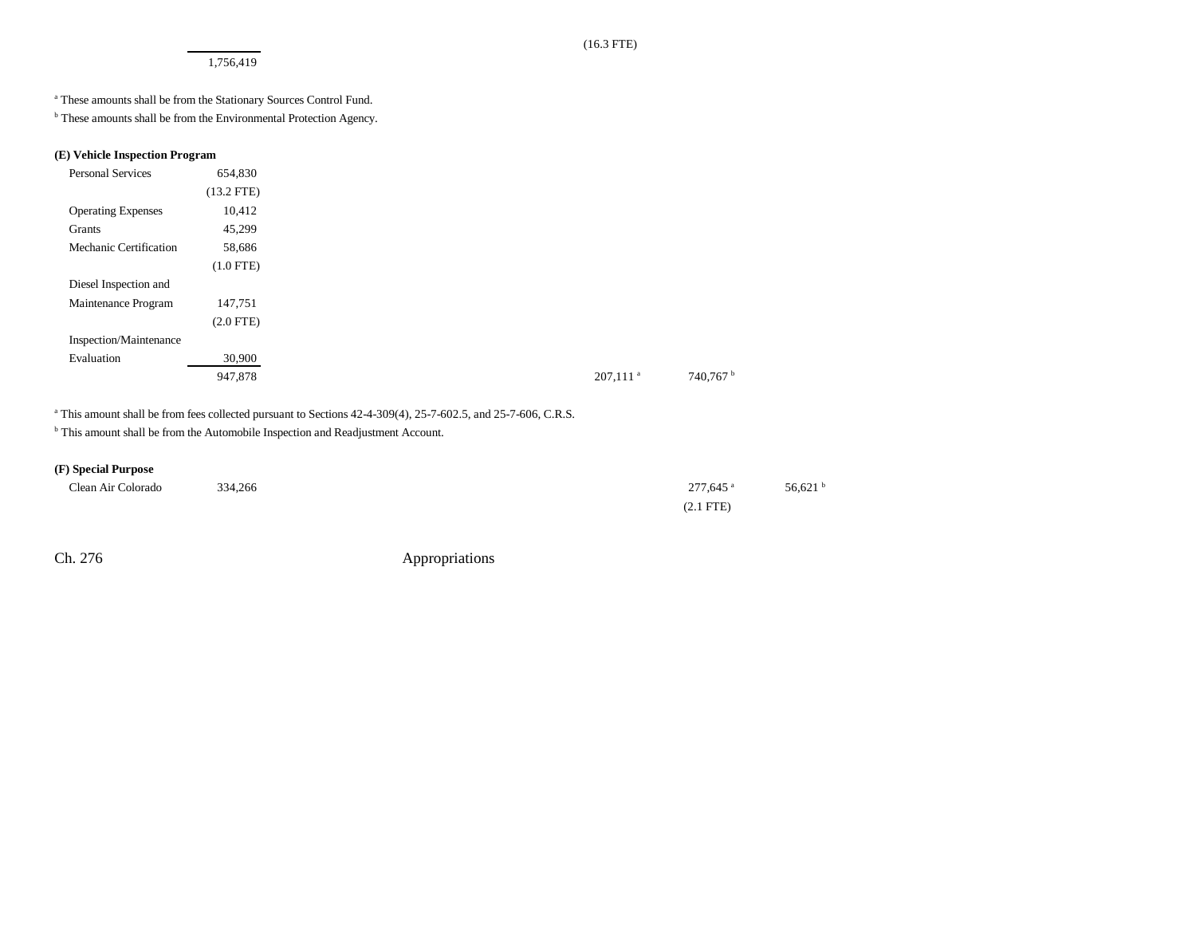1,756,419

a These amounts shall be from the Stationary Sources Control Fund.

<sup>b</sup> These amounts shall be from the Environmental Protection Agency.

### **(E) Vehicle Inspection Program**

| <b>Personal Services</b>  | 654,830      |
|---------------------------|--------------|
|                           | $(13.2$ FTE) |
| <b>Operating Expenses</b> | 10,412       |
| Grants                    | 45,299       |
| Mechanic Certification    | 58,686       |
|                           | $(1.0$ FTE)  |
| Diesel Inspection and     |              |
| Maintenance Program       | 147,751      |
|                           | $(2.0$ FTE)  |
| Inspection/Maintenance    |              |
| Evaluation                | 30,900       |
|                           | 947,878      |
|                           |              |

<sup>a</sup> This amount shall be from fees collected pursuant to Sections 42-4-309(4), 25-7-602.5, and 25-7-606, C.R.S.

<sup>b</sup> This amount shall be from the Automobile Inspection and Readjustment Account.

## **(F) Special Purpose**

| Clean Air Colorado |         | 277,645 <sup>a</sup> | 56,621 $^{\circ}$ |
|--------------------|---------|----------------------|-------------------|
| .                  | 334,266 | . .                  |                   |
|                    |         | (2.1 FTE)            |                   |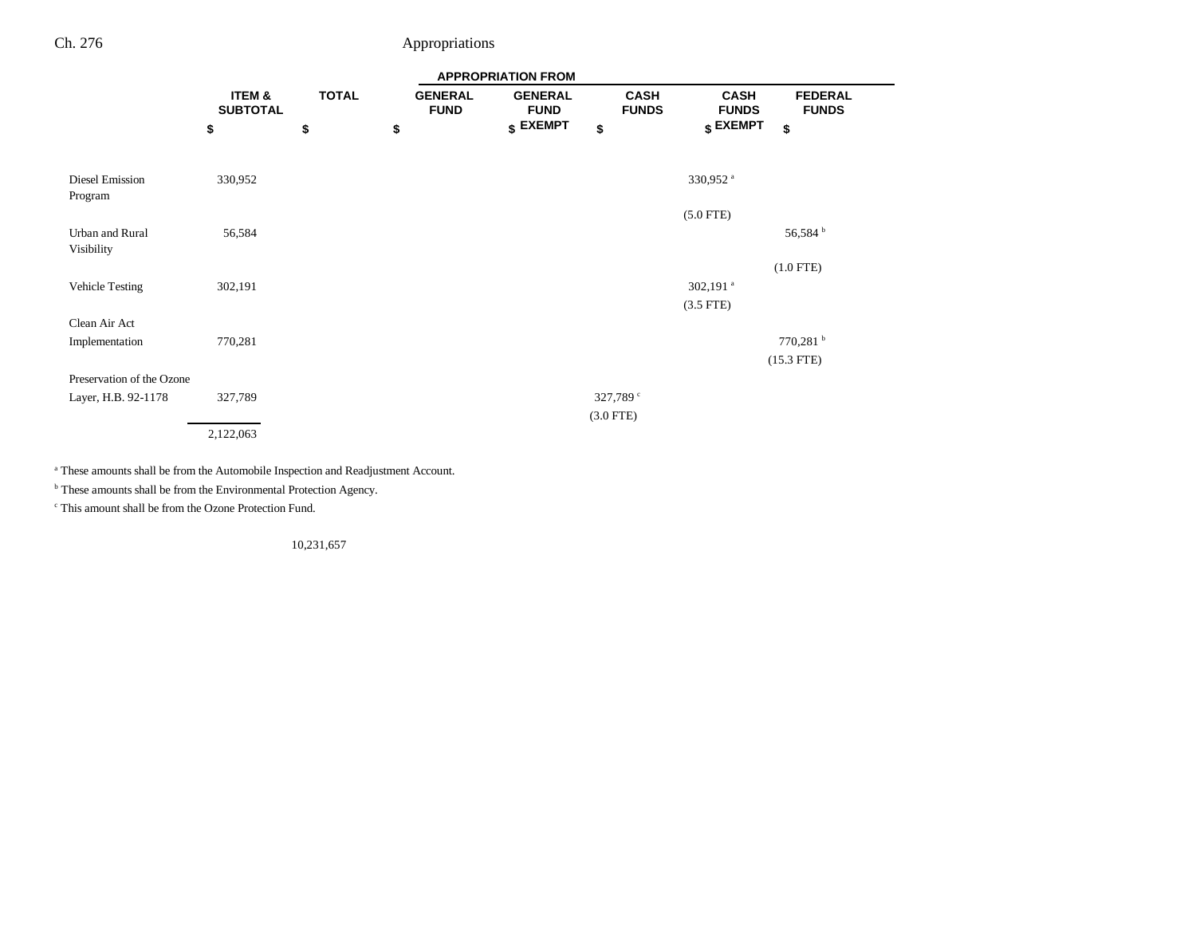|                               | <b>APPROPRIATION FROM</b> |              |    |                               |                               |             |                             |                             |                                |
|-------------------------------|---------------------------|--------------|----|-------------------------------|-------------------------------|-------------|-----------------------------|-----------------------------|--------------------------------|
|                               | ITEM &<br><b>SUBTOTAL</b> | <b>TOTAL</b> |    | <b>GENERAL</b><br><b>FUND</b> | <b>GENERAL</b><br><b>FUND</b> |             | <b>CASH</b><br><b>FUNDS</b> | <b>CASH</b><br><b>FUNDS</b> | <b>FEDERAL</b><br><b>FUNDS</b> |
|                               | \$                        | \$           | \$ |                               | $$$ EXEMPT                    | \$          |                             | $$$ EXEMPT                  | \$                             |
| Diesel Emission<br>Program    | 330,952                   |              |    |                               |                               |             |                             | 330,952 <sup>a</sup>        |                                |
|                               |                           |              |    |                               |                               |             |                             | $(5.0$ FTE)                 |                                |
| Urban and Rural<br>Visibility | 56,584                    |              |    |                               |                               |             |                             |                             | 56,584 <sup>b</sup>            |
|                               |                           |              |    |                               |                               |             |                             |                             | $(1.0$ FTE)                    |
| Vehicle Testing               | 302,191                   |              |    |                               |                               |             |                             | 302,191 $^a$                |                                |
|                               |                           |              |    |                               |                               |             |                             | $(3.5$ FTE)                 |                                |
| Clean Air Act                 |                           |              |    |                               |                               |             |                             |                             |                                |
| Implementation                | 770,281                   |              |    |                               |                               |             |                             |                             | $770,281$ <sup>b</sup>         |
|                               |                           |              |    |                               |                               |             |                             |                             | $(15.3$ FTE)                   |
| Preservation of the Ozone     |                           |              |    |                               |                               |             |                             |                             |                                |
| Layer, H.B. 92-1178           | 327,789                   |              |    |                               |                               |             | 327,789 $^{\circ}$          |                             |                                |
|                               |                           |              |    |                               |                               | $(3.0$ FTE) |                             |                             |                                |
|                               | 2,122,063                 |              |    |                               |                               |             |                             |                             |                                |

a These amounts shall be from the Automobile Inspection and Readjustment Account.

 $<sup>b</sup>$  These amounts shall be from the Environmental Protection Agency.</sup>

c This amount shall be from the Ozone Protection Fund.

10,231,657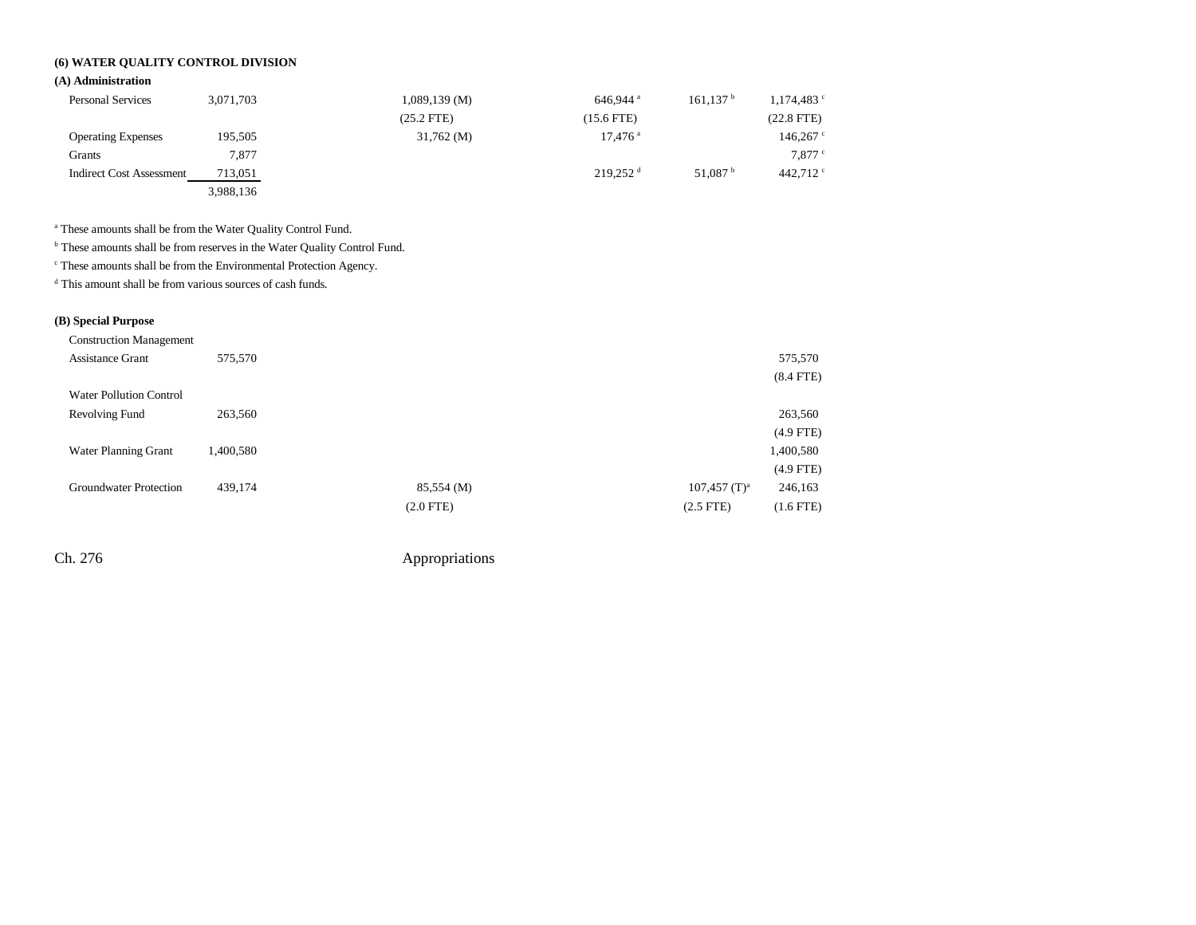## **(6) WATER QUALITY CONTROL DIVISION**

## **(A) Administration**

| <b>Personal Services</b>        | 3,071,703 | $1,089,139$ (M) | 646.944 $a$            | 161.137 <sup>b</sup> | $1,174,483$ $\degree$ |
|---------------------------------|-----------|-----------------|------------------------|----------------------|-----------------------|
|                                 |           | $(25.2$ FTE)    | $(15.6$ FTE)           |                      | $(22.8$ FTE)          |
| <b>Operating Expenses</b>       | 195,505   | $31,762 \, (M)$ | $17,476$ <sup>a</sup>  |                      | 146,267               |
| Grants                          | 7.877     |                 |                        |                      | $7,877$ $\degree$     |
| <b>Indirect Cost Assessment</b> | 713,051   |                 | $219.252$ <sup>d</sup> | 51.087 $^{\circ}$    | 442.712 $\degree$     |
|                                 | 3,988,136 |                 |                        |                      |                       |

a These amounts shall be from the Water Quality Control Fund.

b These amounts shall be from reserves in the Water Quality Control Fund.

c These amounts shall be from the Environmental Protection Agency.

d This amount shall be from various sources of cash funds.

## **(B) Special Purpose**

| <b>Construction Management</b> |           |             |                            |
|--------------------------------|-----------|-------------|----------------------------|
| <b>Assistance Grant</b>        | 575,570   |             |                            |
|                                |           |             |                            |
| <b>Water Pollution Control</b> |           |             |                            |
| Revolving Fund                 | 263,560   |             |                            |
|                                |           |             |                            |
| Water Planning Grant           | 1,400,580 |             |                            |
|                                |           |             |                            |
| Groundwater Protection         | 439,174   | 85,554 (M)  | $107,457$ (T) <sup>a</sup> |
|                                |           | $(2.0$ FTE) | $(2.5$ FTE)                |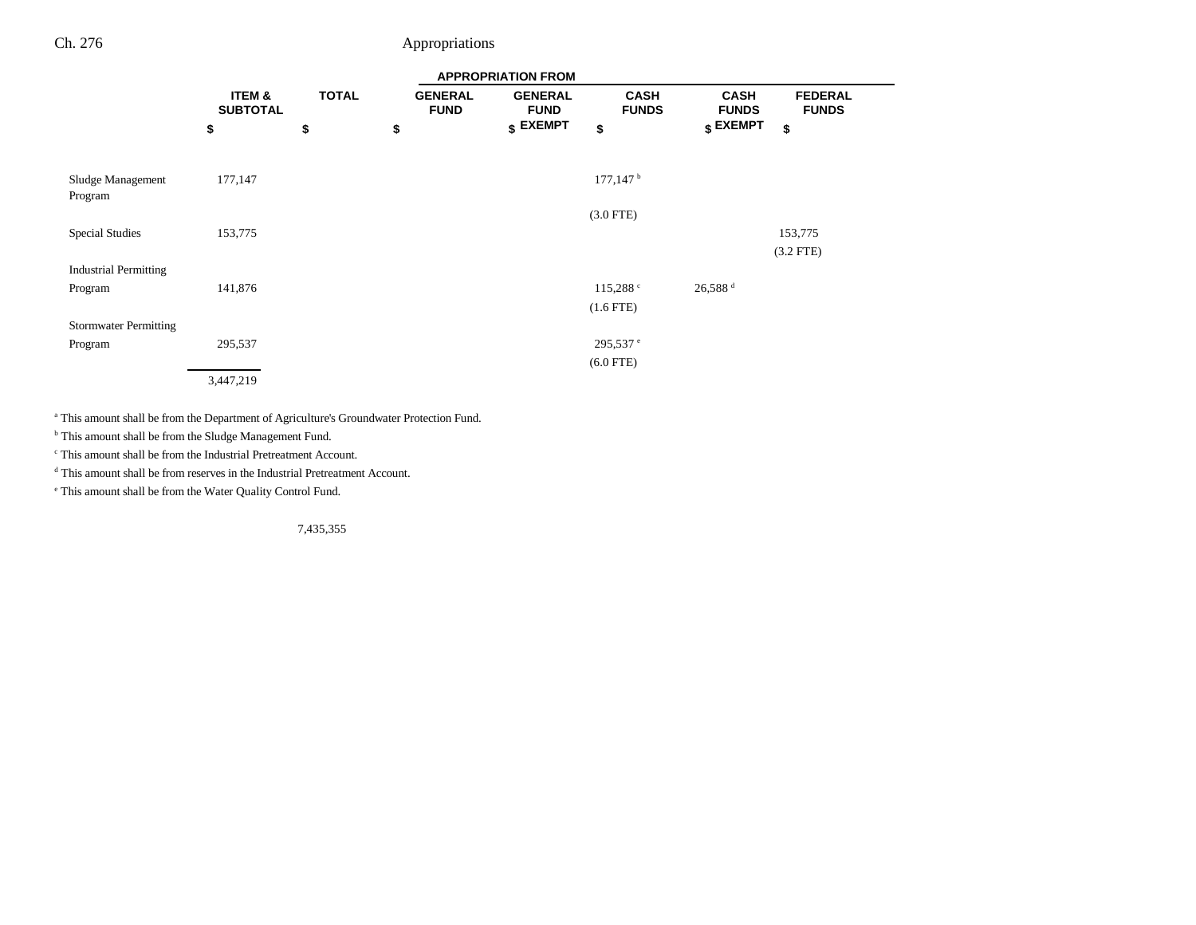|                              | <b>APPROPRIATION FROM</b> |              |                               |                               |                             |                             |                                |  |
|------------------------------|---------------------------|--------------|-------------------------------|-------------------------------|-----------------------------|-----------------------------|--------------------------------|--|
|                              | ITEM &<br><b>SUBTOTAL</b> | <b>TOTAL</b> | <b>GENERAL</b><br><b>FUND</b> | <b>GENERAL</b><br><b>FUND</b> | <b>CASH</b><br><b>FUNDS</b> | <b>CASH</b><br><b>FUNDS</b> | <b>FEDERAL</b><br><b>FUNDS</b> |  |
|                              | \$                        | \$           | \$                            | $$$ EXEMPT                    | \$                          | $$$ EXEMPT                  | \$                             |  |
|                              |                           |              |                               |                               |                             |                             |                                |  |
| Sludge Management<br>Program | 177,147                   |              |                               |                               | $177, 147$ <sup>b</sup>     |                             |                                |  |
|                              |                           |              |                               |                               | $(3.0$ FTE)                 |                             |                                |  |
| <b>Special Studies</b>       | 153,775                   |              |                               |                               |                             |                             | 153,775                        |  |
|                              |                           |              |                               |                               |                             |                             | $(3.2$ FTE)                    |  |
| <b>Industrial Permitting</b> |                           |              |                               |                               |                             |                             |                                |  |
| Program                      | 141,876                   |              |                               |                               | 115,288°                    | $26,588$ <sup>d</sup>       |                                |  |
|                              |                           |              |                               |                               | $(1.6$ FTE $)$              |                             |                                |  |
| <b>Stormwater Permitting</b> |                           |              |                               |                               |                             |                             |                                |  |
| Program                      | 295,537                   |              |                               |                               | $295,537$ e                 |                             |                                |  |
|                              |                           |              |                               |                               | $(6.0$ FTE)                 |                             |                                |  |
|                              | 3,447,219                 |              |                               |                               |                             |                             |                                |  |

a This amount shall be from the Department of Agriculture's Groundwater Protection Fund.

<sup>b</sup> This amount shall be from the Sludge Management Fund.

c This amount shall be from the Industrial Pretreatment Account.

d This amount shall be from reserves in the Industrial Pretreatment Account.

e This amount shall be from the Water Quality Control Fund.

7,435,355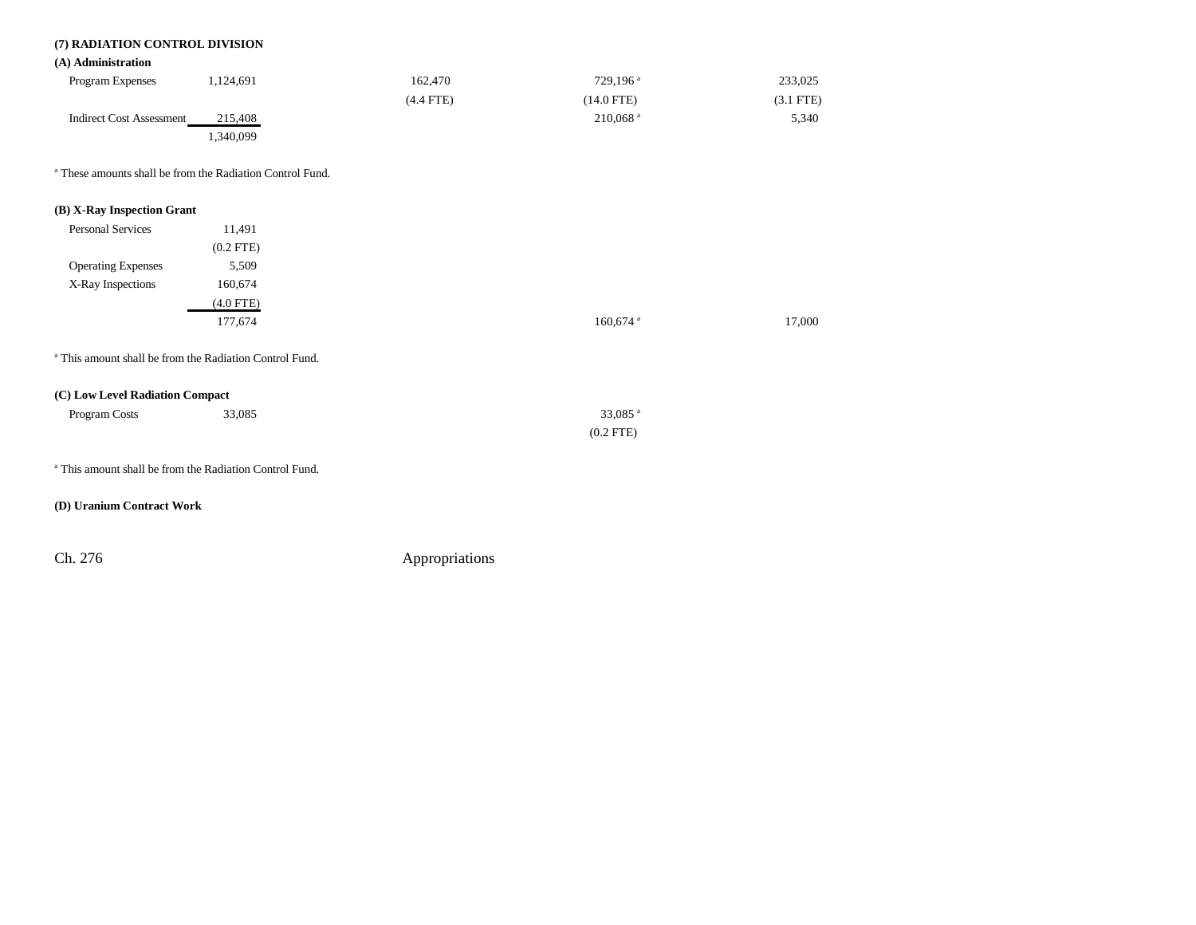## **(7) RADIATION CONTROL DIVISION**

### **(A) Administration**

| <b>Program Expenses</b>  | 1.124.691 | 162.470        | $729.196$ <sup>a</sup> | 233,025     |
|--------------------------|-----------|----------------|------------------------|-------------|
|                          |           | $(4.4$ FTE $)$ | $(14.0$ FTE)           | $(3.1$ FTE) |
| Indirect Cost Assessment | 215,408   |                | $210.068$ <sup>a</sup> | 5,340       |
|                          | .340,099  |                |                        |             |

a These amounts shall be from the Radiation Control Fund.

## **(B) X-Ray Inspection Grant**

| Personal Services         | 11,491      |
|---------------------------|-------------|
|                           | $(0.2$ FTE) |
| <b>Operating Expenses</b> | 5,509       |
| X-Ray Inspections         | 160,674     |
|                           | $(4.0$ FTE) |
|                           | 177,674     |
|                           |             |

a This amount shall be from the Radiation Control Fund.

### **(C) Low Level Radiation Compact**

| Program Costs | 33,085 | 33,085 $a$  |
|---------------|--------|-------------|
|               |        | $(0.2$ FTE) |

a This amount shall be from the Radiation Control Fund.

### **(D) Uranium Contract Work**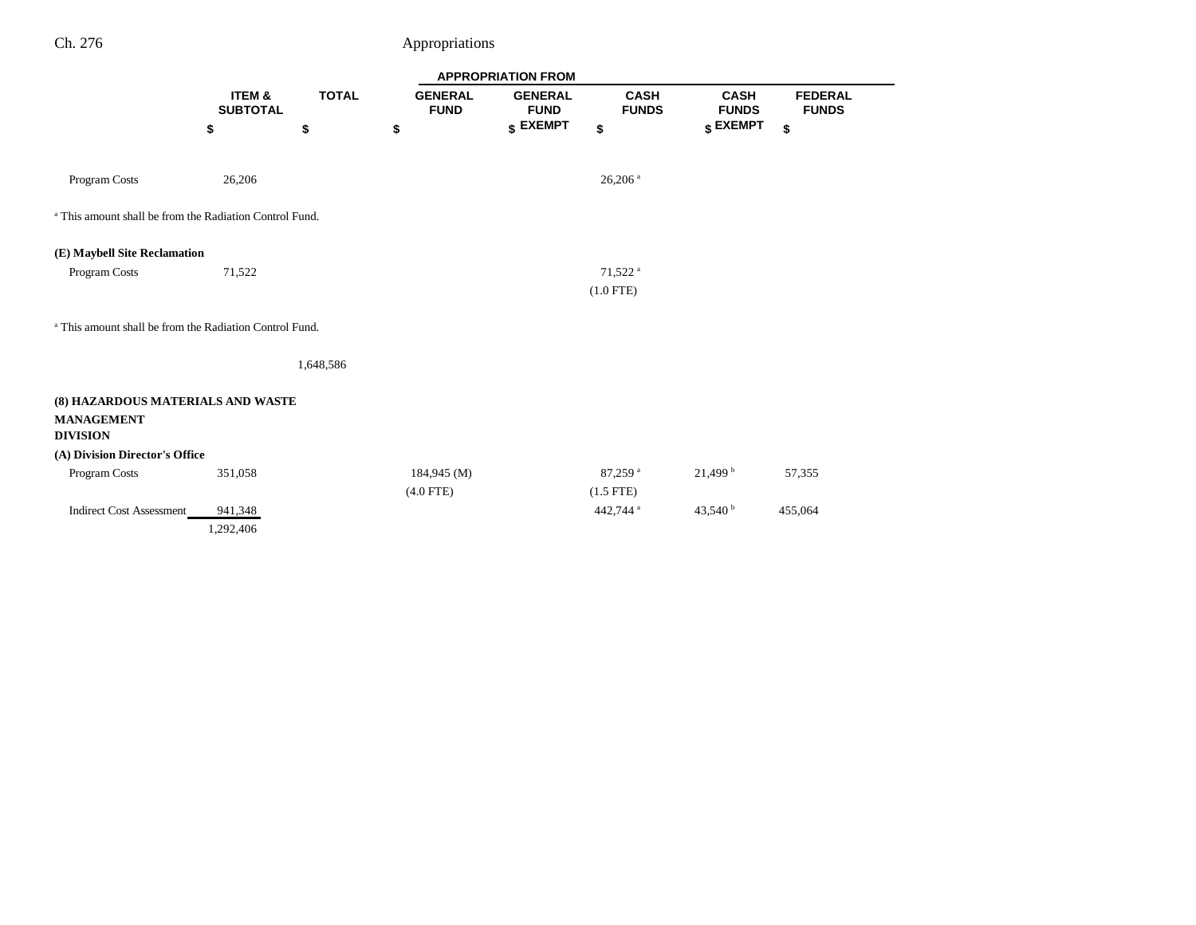|                                                                    | <b>APPROPRIATION FROM</b> |              |                               |                               |                             |                             |                                |  |
|--------------------------------------------------------------------|---------------------------|--------------|-------------------------------|-------------------------------|-----------------------------|-----------------------------|--------------------------------|--|
|                                                                    | ITEM &<br><b>SUBTOTAL</b> | <b>TOTAL</b> | <b>GENERAL</b><br><b>FUND</b> | <b>GENERAL</b><br><b>FUND</b> | <b>CASH</b><br><b>FUNDS</b> | <b>CASH</b><br><b>FUNDS</b> | <b>FEDERAL</b><br><b>FUNDS</b> |  |
|                                                                    | \$                        | \$           | \$                            | \$ EXEMPT                     | \$                          | \$ EXEMPT                   | \$                             |  |
|                                                                    |                           |              |                               |                               |                             |                             |                                |  |
| Program Costs                                                      | 26,206                    |              |                               |                               | $26,206$ <sup>a</sup>       |                             |                                |  |
| <sup>a</sup> This amount shall be from the Radiation Control Fund. |                           |              |                               |                               |                             |                             |                                |  |
| (E) Maybell Site Reclamation                                       |                           |              |                               |                               |                             |                             |                                |  |
| Program Costs                                                      | 71,522                    |              |                               |                               | $71,522$ <sup>a</sup>       |                             |                                |  |
|                                                                    |                           |              |                               |                               | $(1.0$ FTE)                 |                             |                                |  |
|                                                                    |                           |              |                               |                               |                             |                             |                                |  |
| <sup>a</sup> This amount shall be from the Radiation Control Fund. |                           |              |                               |                               |                             |                             |                                |  |
|                                                                    |                           | 1,648,586    |                               |                               |                             |                             |                                |  |
|                                                                    |                           |              |                               |                               |                             |                             |                                |  |
| (8) HAZARDOUS MATERIALS AND WASTE                                  |                           |              |                               |                               |                             |                             |                                |  |
| <b>MANAGEMENT</b><br><b>DIVISION</b>                               |                           |              |                               |                               |                             |                             |                                |  |
| (A) Division Director's Office                                     |                           |              |                               |                               |                             |                             |                                |  |
| Program Costs                                                      | 351,058                   |              | 184,945 (M)                   |                               | 87,259 <sup>a</sup>         | 21,499 <sup>b</sup>         | 57,355                         |  |
|                                                                    |                           |              | $(4.0$ FTE)                   |                               | $(1.5$ FTE)                 |                             |                                |  |
| <b>Indirect Cost Assessment</b>                                    | 941,348                   |              |                               |                               | 442,744 <sup>a</sup>        | 43,540 $^{\rm b}$           | 455,064                        |  |
|                                                                    | 1,292,406                 |              |                               |                               |                             |                             |                                |  |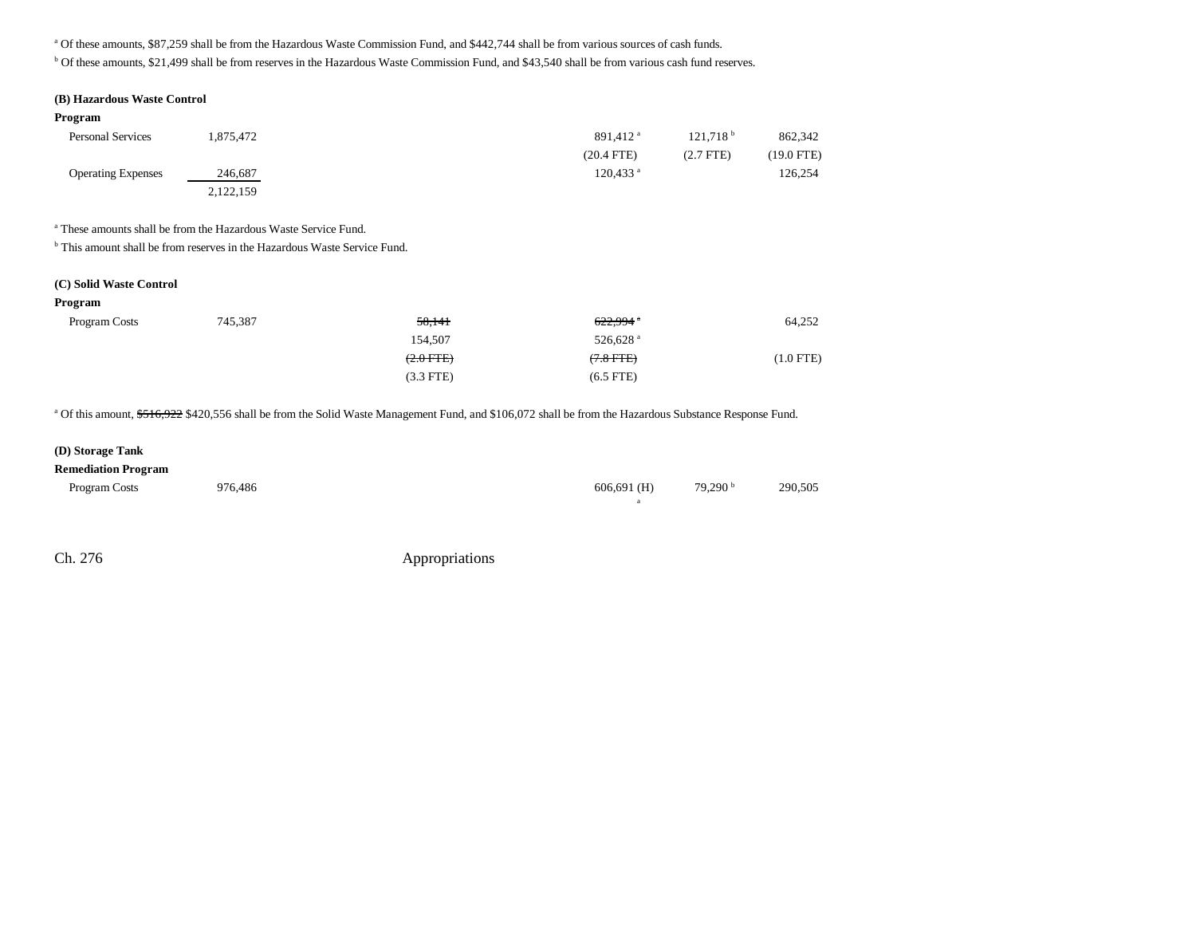a Of these amounts, \$87,259 shall be from the Hazardous Waste Commission Fund, and \$442,744 shall be from various sources of cash funds.

b Of these amounts, \$21,499 shall be from reserves in the Hazardous Waste Commission Fund, and \$43,540 shall be from various cash fund reserves.

#### **(B) Hazardous Waste Control**

#### **Program**

| <b>Personal Services</b>  | .875.472  | $891.412$ <sup>a</sup> | 121.718 <sup>b</sup> | 862,342    |
|---------------------------|-----------|------------------------|----------------------|------------|
|                           |           | $(20.4$ FTE)           | $(2.7$ FTE)          | (19.0 FTE) |
| <b>Operating Expenses</b> | 246,687   | $120.433$ <sup>a</sup> |                      | 126,254    |
|                           | 2,122,159 |                        |                      |            |

<sup>a</sup> These amounts shall be from the Hazardous Waste Service Fund.

<sup>b</sup> This amount shall be from reserves in the Hazardous Waste Service Fund.

#### **(C) Solid Waste Control**

| Program       |         |                |                        |             |
|---------------|---------|----------------|------------------------|-------------|
| Program Costs | 745,387 | 58,141         | $622.994$ <sup>a</sup> | 64,252      |
|               |         | 154,507        | 526,628 <sup>a</sup>   |             |
|               |         | $(2.0$ FTE $)$ | $(7.8$ FTE)            | $(1.0$ FTE) |
|               |         | $(3.3$ FTE)    | $(6.5$ FTE)            |             |

<sup>a</sup> Of this amount, \$516,922 \$420,556 shall be from the Solid Waste Management Fund, and \$106,072 shall be from the Hazardous Substance Response Fund.

## **(D) Storage Tank**

#### **Remediation Program**

| Program Costs | 976,486 | $606,691$ (H) | 79,290 <sup>b</sup> | 290,505 |
|---------------|---------|---------------|---------------------|---------|
|               |         |               |                     |         |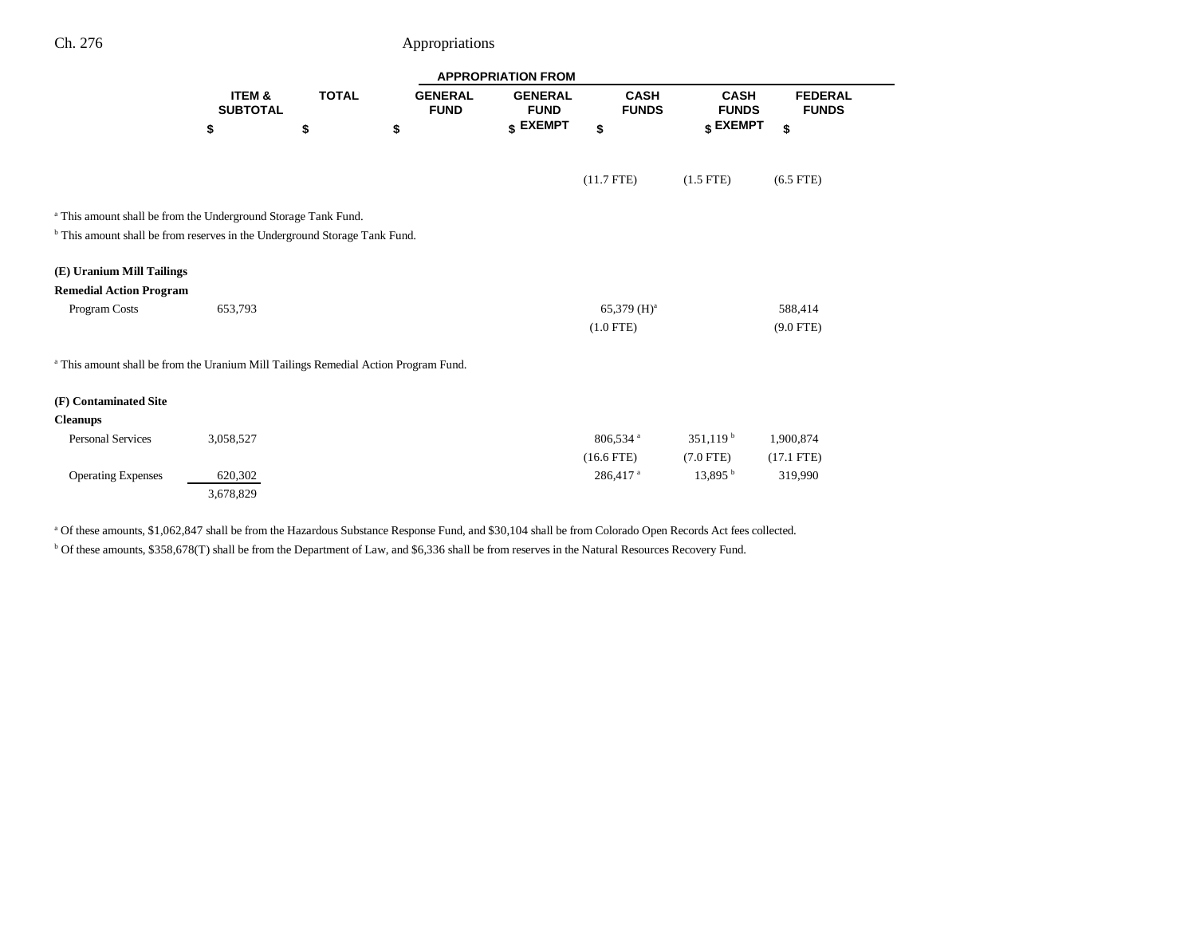|                                                                                                |                           |              |                               | <b>APPROPRIATION FROM</b>     |                             |                             |                                |
|------------------------------------------------------------------------------------------------|---------------------------|--------------|-------------------------------|-------------------------------|-----------------------------|-----------------------------|--------------------------------|
|                                                                                                | ITEM &<br><b>SUBTOTAL</b> | <b>TOTAL</b> | <b>GENERAL</b><br><b>FUND</b> | <b>GENERAL</b><br><b>FUND</b> | <b>CASH</b><br><b>FUNDS</b> | <b>CASH</b><br><b>FUNDS</b> | <b>FEDERAL</b><br><b>FUNDS</b> |
|                                                                                                | \$                        | \$           | \$                            | \$ EXEMPT                     | \$                          | \$ EXEMPT                   | \$                             |
|                                                                                                |                           |              |                               |                               | $(11.7$ FTE)                | $(1.5$ FTE)                 | $(6.5$ FTE)                    |
| <sup>a</sup> This amount shall be from the Underground Storage Tank Fund.                      |                           |              |                               |                               |                             |                             |                                |
| <sup>b</sup> This amount shall be from reserves in the Underground Storage Tank Fund.          |                           |              |                               |                               |                             |                             |                                |
| (E) Uranium Mill Tailings                                                                      |                           |              |                               |                               |                             |                             |                                |
| <b>Remedial Action Program</b>                                                                 |                           |              |                               |                               |                             |                             |                                |
| Program Costs                                                                                  | 653,793                   |              |                               |                               | $65,379 \ (H)^a$            |                             | 588,414                        |
|                                                                                                |                           |              |                               |                               | $(1.0$ FTE)                 |                             | $(9.0$ FTE)                    |
| <sup>a</sup> This amount shall be from the Uranium Mill Tailings Remedial Action Program Fund. |                           |              |                               |                               |                             |                             |                                |
| (F) Contaminated Site                                                                          |                           |              |                               |                               |                             |                             |                                |
| <b>Cleanups</b>                                                                                |                           |              |                               |                               |                             |                             |                                |
| <b>Personal Services</b>                                                                       | 3,058,527                 |              |                               |                               | 806,534 <sup>a</sup>        | $351,119^{b}$               | 1,900,874                      |
|                                                                                                |                           |              |                               |                               | $(16.6$ FTE)                | $(7.0$ FTE)                 | $(17.1$ FTE)                   |
| <b>Operating Expenses</b>                                                                      | 620,302<br>3,678,829      |              |                               |                               | 286,417 <sup>a</sup>        | $13,895$ <sup>b</sup>       | 319,990                        |

<sup>a</sup> Of these amounts, \$1,062,847 shall be from the Hazardous Substance Response Fund, and \$30,104 shall be from Colorado Open Records Act fees collected. b Of these amounts, \$358,678(T) shall be from the Department of Law, and \$6,336 shall be from reserves in the Natural Resources Recovery Fund.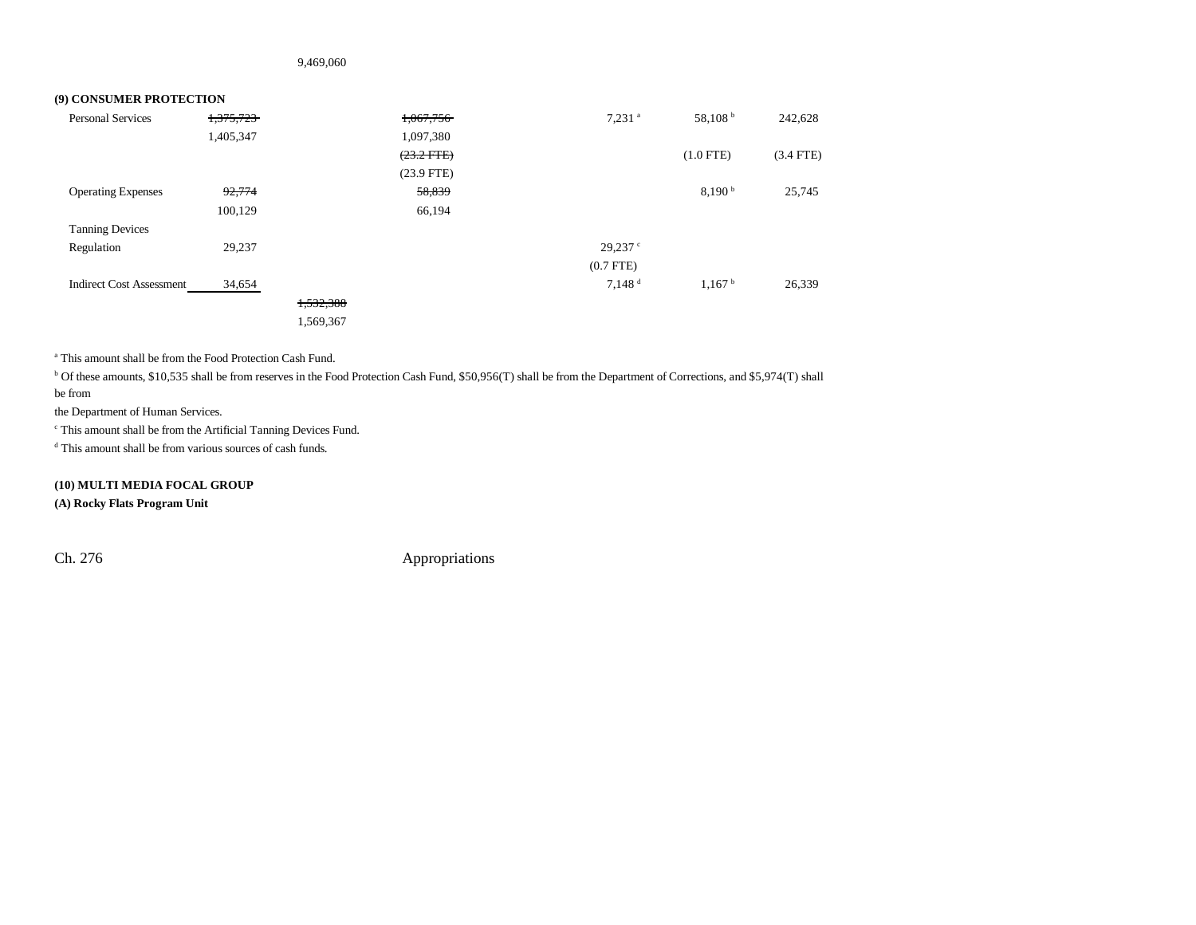9,469,060

### **(9) CONSUMER PROTECTION**

| <b>Personal Services</b>        | 1,375,723 |           | 1,067,756    | $7,231$ <sup>a</sup> | 58,108 b           | 242,628     |
|---------------------------------|-----------|-----------|--------------|----------------------|--------------------|-------------|
|                                 | 1,405,347 |           | 1,097,380    |                      |                    |             |
|                                 |           |           | $(23.2$ FTE) |                      | $(1.0$ FTE)        | $(3.4$ FTE) |
|                                 |           |           | $(23.9$ FTE) |                      |                    |             |
| <b>Operating Expenses</b>       | 92,774    |           | 58,839       |                      | 8,190 <sup>b</sup> | 25,745      |
|                                 | 100,129   |           | 66,194       |                      |                    |             |
| <b>Tanning Devices</b>          |           |           |              |                      |                    |             |
| Regulation                      | 29,237    |           |              | $29,237$ $\degree$   |                    |             |
|                                 |           |           |              | $(0.7$ FTE $)$       |                    |             |
| <b>Indirect Cost Assessment</b> | 34,654    |           |              | $7,148$ <sup>d</sup> | 1,167h             | 26,339      |
|                                 |           | 1,532,388 |              |                      |                    |             |
|                                 |           | 1,569,367 |              |                      |                    |             |

a This amount shall be from the Food Protection Cash Fund.

<sup>b</sup> Of these amounts, \$10,535 shall be from reserves in the Food Protection Cash Fund, \$50,956(T) shall be from the Department of Corrections, and \$5,974(T) shall be from

the Department of Human Services.

c This amount shall be from the Artificial Tanning Devices Fund.

d This amount shall be from various sources of cash funds.

**(10) MULTI MEDIA FOCAL GROUP (A) Rocky Flats Program Unit**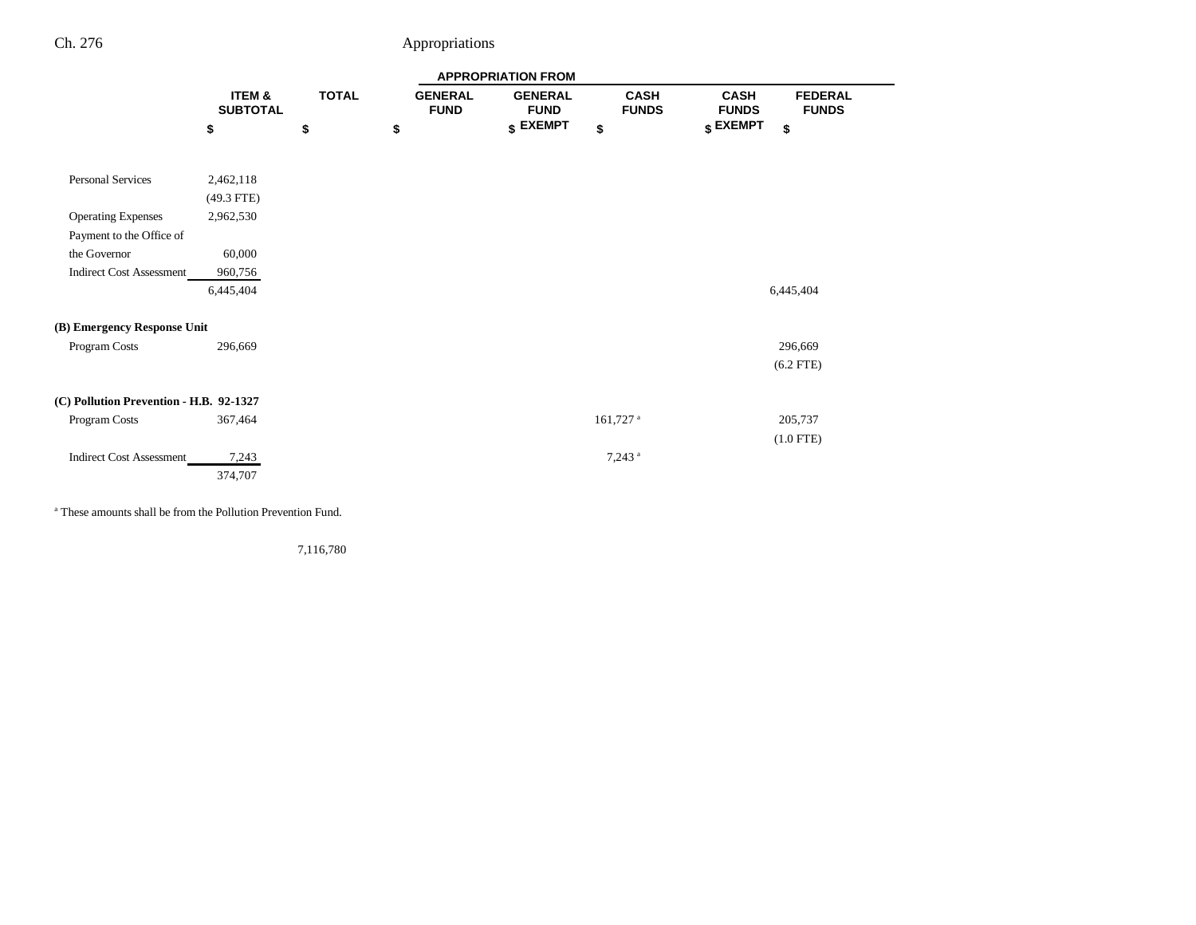|                                                       |                           |              |                               | <b>APPROPRIATION FROM</b>     |                             |                             |                                |
|-------------------------------------------------------|---------------------------|--------------|-------------------------------|-------------------------------|-----------------------------|-----------------------------|--------------------------------|
|                                                       | ITEM &<br><b>SUBTOTAL</b> | <b>TOTAL</b> | <b>GENERAL</b><br><b>FUND</b> | <b>GENERAL</b><br><b>FUND</b> | <b>CASH</b><br><b>FUNDS</b> | <b>CASH</b><br><b>FUNDS</b> | <b>FEDERAL</b><br><b>FUNDS</b> |
|                                                       | \$                        | \$           | \$                            | \$ EXEMPT                     | \$                          | \$ EXEMPT                   | \$                             |
| <b>Personal Services</b>                              | 2,462,118<br>$(49.3$ FTE) |              |                               |                               |                             |                             |                                |
| <b>Operating Expenses</b><br>Payment to the Office of | 2,962,530                 |              |                               |                               |                             |                             |                                |
| the Governor                                          | 60,000                    |              |                               |                               |                             |                             |                                |
| <b>Indirect Cost Assessment</b>                       | 960,756                   |              |                               |                               |                             |                             |                                |
|                                                       | 6,445,404                 |              |                               |                               |                             |                             | 6,445,404                      |
| (B) Emergency Response Unit                           |                           |              |                               |                               |                             |                             |                                |
| Program Costs                                         | 296,669                   |              |                               |                               |                             |                             | 296,669                        |
|                                                       |                           |              |                               |                               |                             |                             | $(6.2$ FTE)                    |
| (C) Pollution Prevention - H.B. 92-1327               |                           |              |                               |                               |                             |                             |                                |
| Program Costs                                         | 367,464                   |              |                               |                               | $161,727$ <sup>a</sup>      |                             | 205,737                        |
|                                                       |                           |              |                               |                               |                             |                             | $(1.0$ FTE)                    |
| <b>Indirect Cost Assessment</b>                       | 7,243<br>374,707          |              |                               |                               | $7,243$ <sup>a</sup>        |                             |                                |

a These amounts shall be from the Pollution Prevention Fund.

7,116,780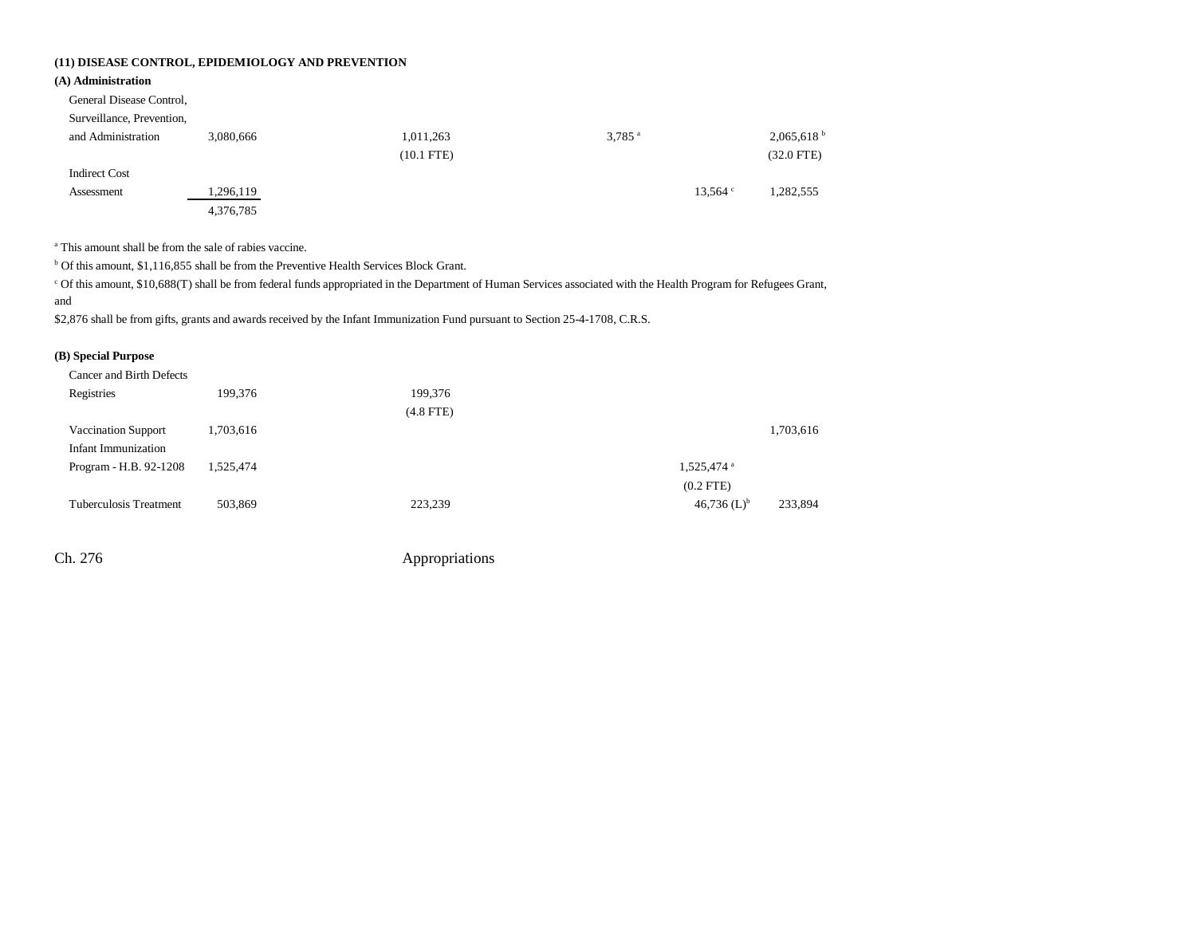### **(11) DISEASE CONTROL, EPIDEMIOLOGY AND PREVENTION**

### **(A) Administration**

| General Disease Control, |
|--------------------------|
|--------------------------|

Surveillance, Prevention,

| and Administration   | 3,080,666 | 1,011,263    | $3,785$ <sup>a</sup> |                    | 2,065,618 <sup>b</sup> |
|----------------------|-----------|--------------|----------------------|--------------------|------------------------|
|                      |           | $(10.1$ FTE) |                      |                    | $(32.0$ FTE)           |
| <b>Indirect Cost</b> |           |              |                      |                    |                        |
| Assessment           | 1,296,119 |              |                      | $13.564$ $\degree$ | 1,282,555              |
|                      | 4,376,785 |              |                      |                    |                        |

a This amount shall be from the sale of rabies vaccine.

<sup>b</sup> Of this amount, \$1,116,855 shall be from the Preventive Health Services Block Grant.

c Of this amount, \$10,688(T) shall be from federal funds appropriated in the Department of Human Services associated with the Health Program for Refugees Grant, and

\$2,876 shall be from gifts, grants and awards received by the Infant Immunization Fund pursuant to Section 25-4-1708, C.R.S.

### **(B) Special Purpose**

| Cancer and Birth Defects                   |           |             |                                       |           |
|--------------------------------------------|-----------|-------------|---------------------------------------|-----------|
| Registries                                 | 199.376   | 199,376     |                                       |           |
|                                            |           | $(4.8$ FTE) |                                       |           |
| Vaccination Support<br>Infant Immunization | 1,703,616 |             |                                       | 1,703,616 |
| Program - H.B. 92-1208                     | 1,525,474 |             | 1,525,474 <sup>a</sup><br>$(0.2$ FTE) |           |
| Tuberculosis Treatment                     | 503,869   | 223,239     | 46,736 $(L)^{b}$                      | 233,894   |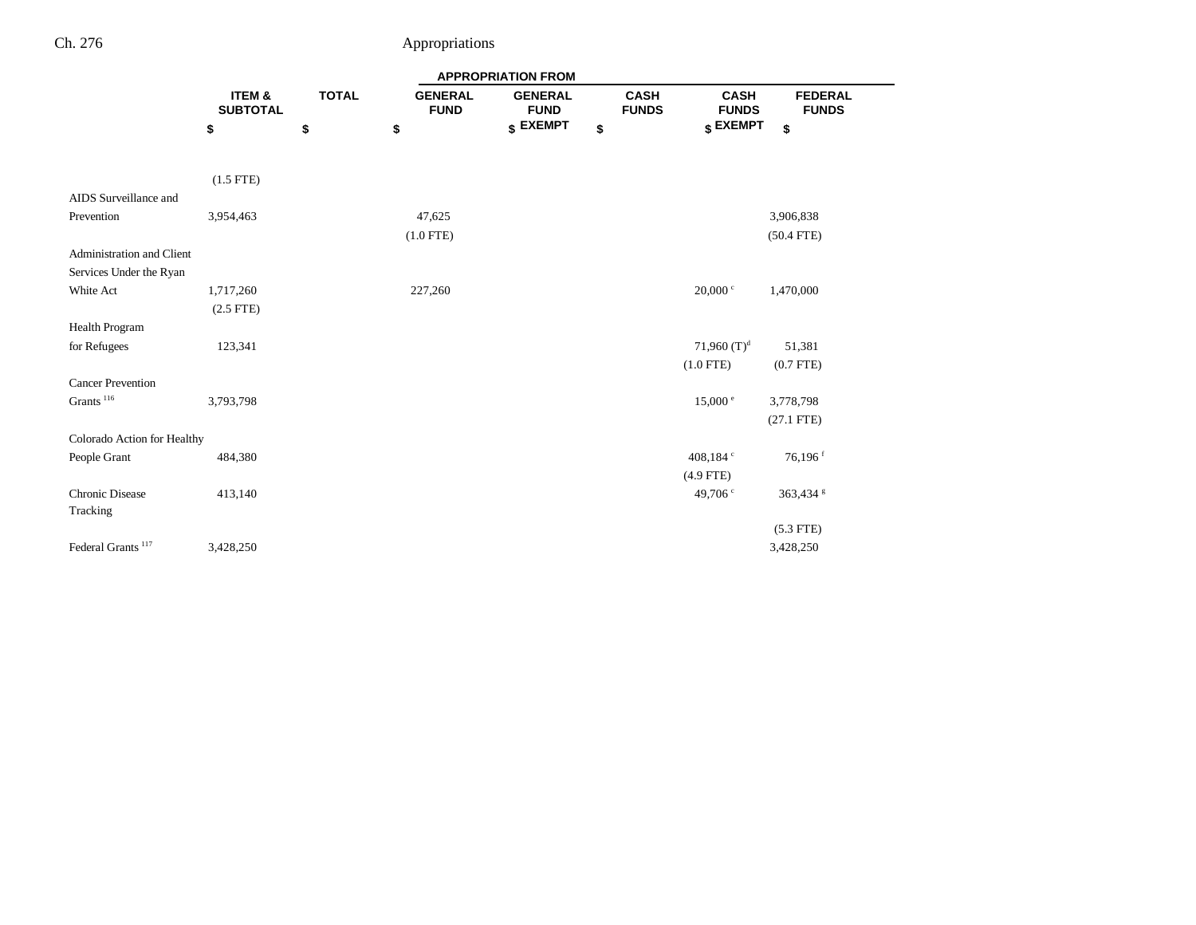|                               |                           |              |                               | <b>APPROPRIATION FROM</b>     |                             |                             |                                |
|-------------------------------|---------------------------|--------------|-------------------------------|-------------------------------|-----------------------------|-----------------------------|--------------------------------|
|                               | ITEM &<br><b>SUBTOTAL</b> | <b>TOTAL</b> | <b>GENERAL</b><br><b>FUND</b> | <b>GENERAL</b><br><b>FUND</b> | <b>CASH</b><br><b>FUNDS</b> | <b>CASH</b><br><b>FUNDS</b> | <b>FEDERAL</b><br><b>FUNDS</b> |
|                               | \$                        | \$           | \$                            | \$ EXEMPT                     | \$                          | \$ EXEMPT                   | \$                             |
|                               |                           |              |                               |                               |                             |                             |                                |
|                               | $(1.5$ FTE)               |              |                               |                               |                             |                             |                                |
| AIDS Surveillance and         |                           |              |                               |                               |                             |                             |                                |
| Prevention                    | 3,954,463                 |              | 47,625                        |                               |                             |                             | 3,906,838                      |
|                               |                           |              | $(1.0$ FTE)                   |                               |                             |                             | $(50.4$ FTE)                   |
| Administration and Client     |                           |              |                               |                               |                             |                             |                                |
| Services Under the Ryan       |                           |              |                               |                               |                             |                             |                                |
| White Act                     | 1,717,260                 |              | 227,260                       |                               |                             | $20,000 \text{°}$           | 1,470,000                      |
|                               | $(2.5$ FTE)               |              |                               |                               |                             |                             |                                |
| Health Program                |                           |              |                               |                               |                             |                             |                                |
| for Refugees                  | 123,341                   |              |                               |                               |                             | 71,960 $(T)^d$              | 51,381                         |
|                               |                           |              |                               |                               |                             | $(1.0$ FTE)                 | $(0.7$ FTE $)$                 |
| <b>Cancer Prevention</b>      |                           |              |                               |                               |                             |                             |                                |
| Grants $^{\rm 116}$           | 3,793,798                 |              |                               |                               |                             | $15,000 \text{°}$           | 3,778,798                      |
|                               |                           |              |                               |                               |                             |                             | $(27.1$ FTE)                   |
| Colorado Action for Healthy   |                           |              |                               |                               |                             |                             |                                |
| People Grant                  | 484,380                   |              |                               |                               |                             | 408,184 °                   | $76,196$ <sup>f</sup>          |
|                               |                           |              |                               |                               |                             | $(4.9$ FTE)                 |                                |
| <b>Chronic Disease</b>        | 413,140                   |              |                               |                               |                             | 49,706 <sup>c</sup>         | 363,434 g                      |
| Tracking                      |                           |              |                               |                               |                             |                             |                                |
|                               |                           |              |                               |                               |                             |                             | $(5.3$ FTE)                    |
| Federal Grants <sup>117</sup> | 3,428,250                 |              |                               |                               |                             |                             | 3,428,250                      |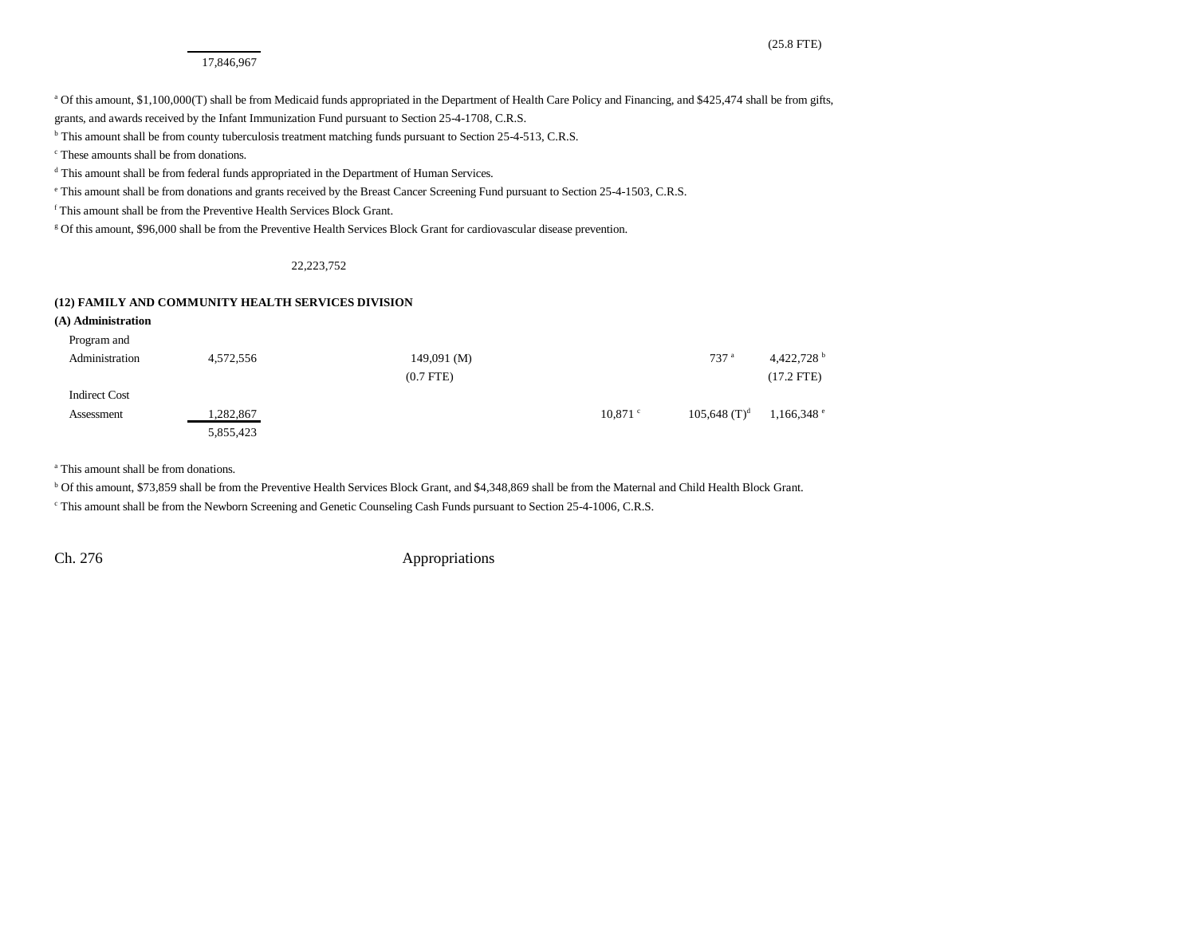#### 17,846,967

a Of this amount, \$1,100,000(T) shall be from Medicaid funds appropriated in the Department of Health Care Policy and Financing, and \$425,474 shall be from gifts,

grants, and awards received by the Infant Immunization Fund pursuant to Section 25-4-1708, C.R.S. <sup>b</sup> This amount shall be from county tuberculosis treatment matching funds pursuant to Section 25-4-513, C.R.S.

c These amounts shall be from donations.

<sup>d</sup> This amount shall be from federal funds appropriated in the Department of Human Services.

e This amount shall be from donations and grants received by the Breast Cancer Screening Fund pursuant to Section 25-4-1503, C.R.S.

f This amount shall be from the Preventive Health Services Block Grant.

g Of this amount, \$96,000 shall be from the Preventive Health Services Block Grant for cardiovascular disease prevention.

#### 22,223,752

#### **(12) FAMILY AND COMMUNITY HEALTH SERVICES DIVISION**

| (A) Administration   |           |                 |            |                            |                          |
|----------------------|-----------|-----------------|------------|----------------------------|--------------------------|
| Program and          |           |                 |            |                            |                          |
| Administration       | 4,572,556 | $149,091 \,(M)$ |            | 737 <sup>a</sup>           | 4,422,728 $^{\rm b}$     |
|                      |           | $(0.7$ FTE $)$  |            |                            | $(17.2$ FTE)             |
| <b>Indirect Cost</b> |           |                 |            |                            |                          |
| Assessment           | 1,282,867 |                 | $10,871$ c | $105,648$ (T) <sup>d</sup> | $1,166,348$ <sup>e</sup> |
|                      | 5,855,423 |                 |            |                            |                          |

a This amount shall be from donations.

b Of this amount, \$73,859 shall be from the Preventive Health Services Block Grant, and \$4,348,869 shall be from the Maternal and Child Health Block Grant.

c This amount shall be from the Newborn Screening and Genetic Counseling Cash Funds pursuant to Section 25-4-1006, C.R.S.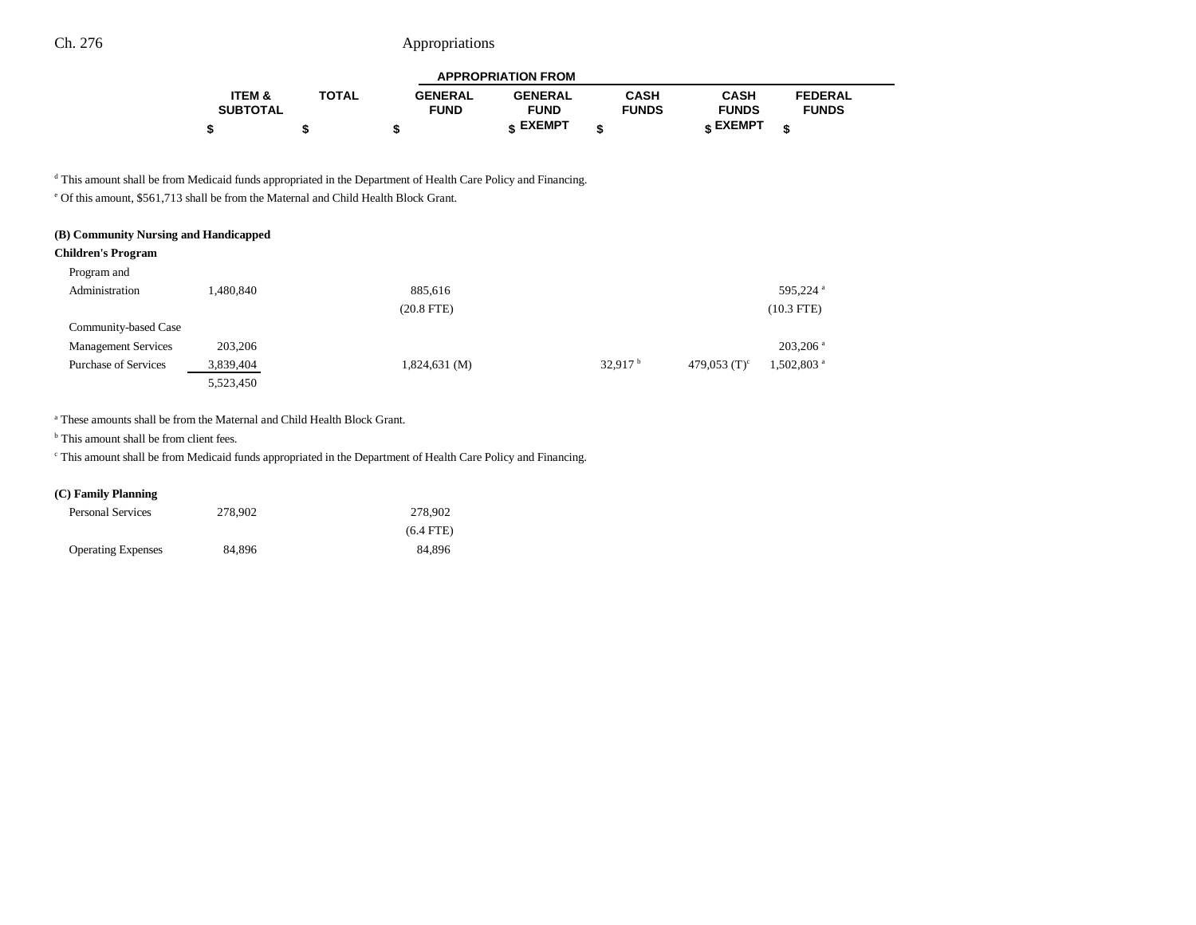|                   |              |                | <b>APPROPRIATION FROM</b> |              |                 |                |  |
|-------------------|--------------|----------------|---------------------------|--------------|-----------------|----------------|--|
| <b>ITEM &amp;</b> | <b>TOTAL</b> | <b>GENERAL</b> | <b>GENERAL</b>            | <b>CASH</b>  | <b>CASH</b>     | <b>FEDERAL</b> |  |
| <b>SUBTOTAL</b>   |              | <b>FUND</b>    | <b>FUND</b>               | <b>FUNDS</b> | <b>FUNDS</b>    | <b>FUNDS</b>   |  |
|                   |              |                | c EXEMPT                  |              | <b>« EXEMPT</b> |                |  |

<sup>d</sup> This amount shall be from Medicaid funds appropriated in the Department of Health Care Policy and Financing.

e Of this amount, \$561,713 shall be from the Maternal and Child Health Block Grant.

| (B) Community Nursing and Handicapped |           |                    |                     |                 |                          |
|---------------------------------------|-----------|--------------------|---------------------|-----------------|--------------------------|
| <b>Children's Program</b>             |           |                    |                     |                 |                          |
| Program and                           |           |                    |                     |                 |                          |
| Administration                        | 1.480.840 | 885,616            |                     |                 | 595.224 <sup>a</sup>     |
|                                       |           | $(20.8$ FTE $)$    |                     |                 | $(10.3$ FTE)             |
| Community-based Case                  |           |                    |                     |                 |                          |
| <b>Management Services</b>            | 203,206   |                    |                     |                 | $203.206$ <sup>a</sup>   |
| <b>Purchase of Services</b>           | 3,839,404 | $1,824,631 \, (M)$ | 32.917 <sup>b</sup> | 479,053 $(T)^c$ | $1,502,803$ <sup>a</sup> |
|                                       | 5,523,450 |                    |                     |                 |                          |

a These amounts shall be from the Maternal and Child Health Block Grant.

<sup>b</sup> This amount shall be from client fees.

c This amount shall be from Medicaid funds appropriated in the Department of Health Care Policy and Financing.

## **(C) Family Planning**

| <b>Personal Services</b>  | 278,902 | 278.902     |
|---------------------------|---------|-------------|
|                           |         | $(6.4$ FTE) |
| <b>Operating Expenses</b> | 84.896  | 84.896      |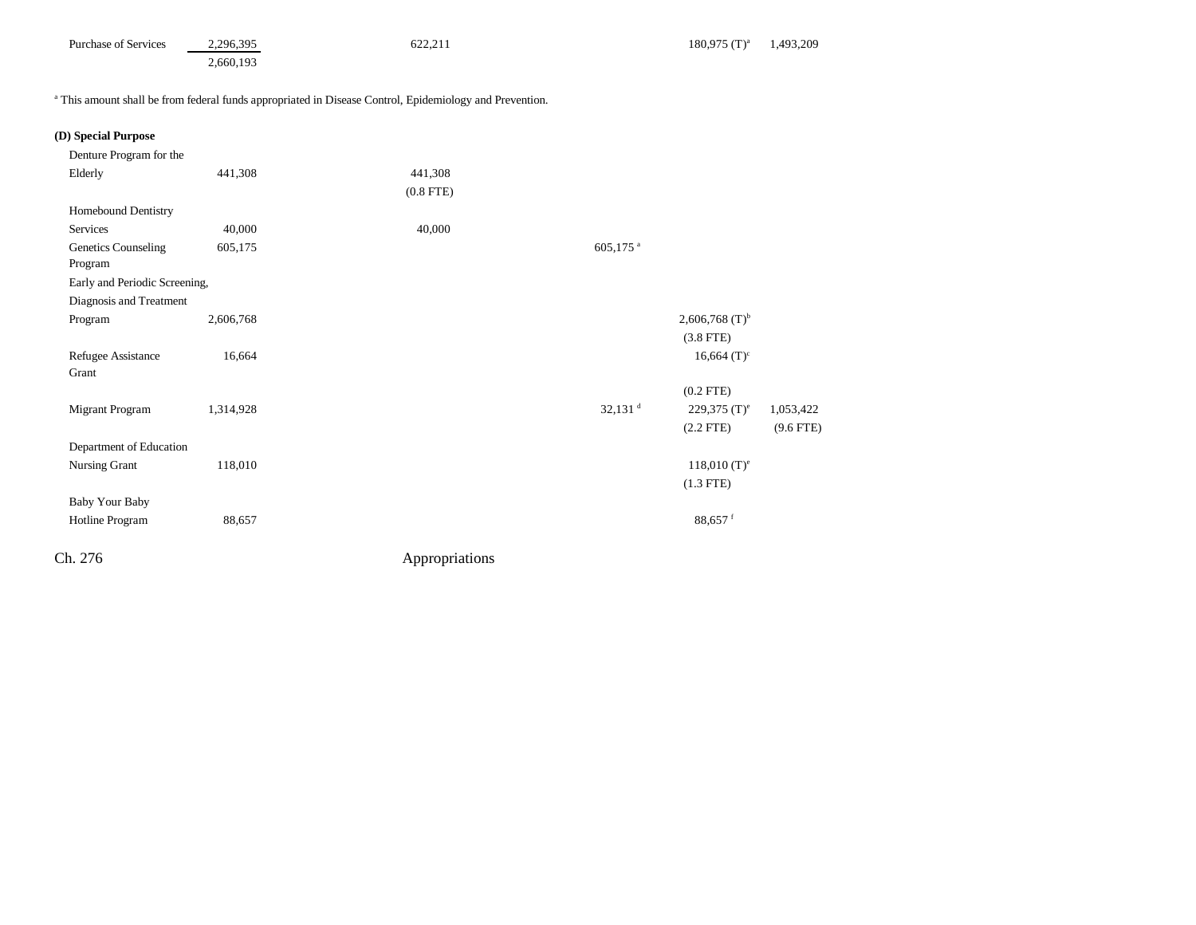| <b>Purchase of Services</b> | 2.296.395 | (22.2)<br>622.211 | $180.975$ (T) <sup>a</sup> | ,493,209 |  |
|-----------------------------|-----------|-------------------|----------------------------|----------|--|
|                             | 2,660,193 |                   |                            |          |  |

a This amount shall be from federal funds appropriated in Disease Control, Epidemiology and Prevention.

| (D) Special Purpose |  |
|---------------------|--|
|---------------------|--|

| 441,308                       | 441,308     |                        |                              |                |
|-------------------------------|-------------|------------------------|------------------------------|----------------|
|                               | $(0.8$ FTE) |                        |                              |                |
|                               |             |                        |                              |                |
| 40,000                        | 40,000      |                        |                              |                |
| 605,175                       |             | $605,175$ <sup>a</sup> |                              |                |
|                               |             |                        |                              |                |
| Early and Periodic Screening, |             |                        |                              |                |
| Diagnosis and Treatment       |             |                        |                              |                |
| 2,606,768                     |             |                        | $2,606,768$ (T) <sup>b</sup> |                |
|                               |             |                        | $(3.8$ FTE)                  |                |
| 16,664                        |             |                        | $16,664$ (T) <sup>c</sup>    |                |
|                               |             |                        |                              |                |
|                               |             |                        |                              |                |
| 1,314,928                     |             |                        | 229,375 $(T)^e$              | 1,053,422      |
|                               |             |                        | $(2.2$ FTE)                  | $(9.6$ FTE)    |
| Department of Education       |             |                        |                              |                |
| 118,010                       |             |                        | $118,010 (T)^e$              |                |
|                               |             |                        | $(1.3$ FTE)                  |                |
|                               |             |                        |                              |                |
| 88,657                        |             |                        | 88,657 <sup>f</sup>          |                |
|                               |             |                        |                              |                |
|                               |             | Appropriations         | $32,131$ <sup>d</sup>        | $(0.2$ FTE $)$ |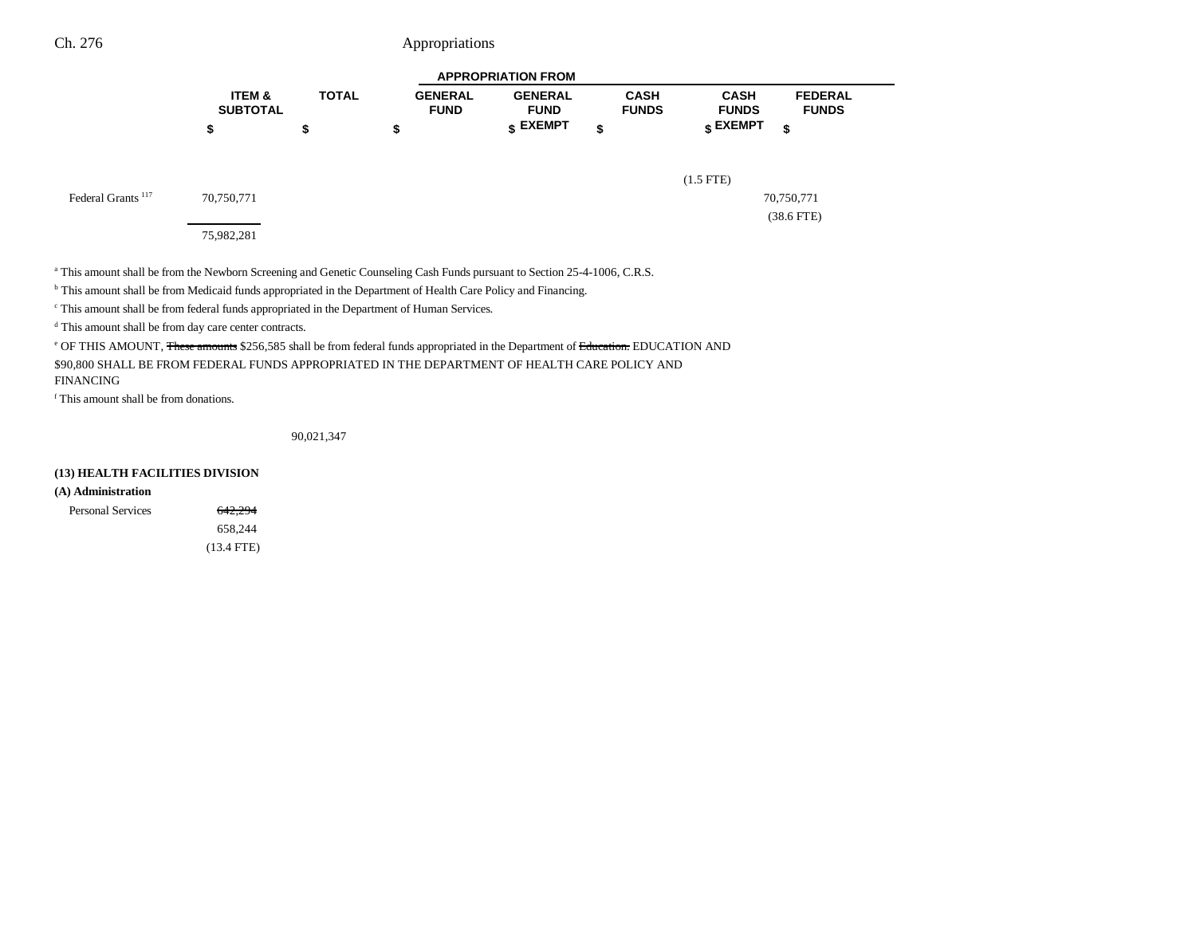|                               | <b>APPROPRIATION FROM</b>            |              |                               |                                  |                             |                                  |                                |
|-------------------------------|--------------------------------------|--------------|-------------------------------|----------------------------------|-----------------------------|----------------------------------|--------------------------------|
|                               | <b>ITEM &amp;</b><br><b>SUBTOTAL</b> | <b>TOTAL</b> | <b>GENERAL</b><br><b>FUND</b> | <b>GENERAL</b><br><b>FUND</b>    | <b>CASH</b><br><b>FUNDS</b> | <b>CASH</b><br><b>FUNDS</b>      | <b>FEDERAL</b><br><b>FUNDS</b> |
|                               | \$                                   | ₽            | \$                            | $\boldsymbol{\mathsf{s}}$ EXEMPT | \$                          | $\boldsymbol{\mathsf{s}}$ EXEMPT | \$                             |
|                               |                                      |              |                               |                                  |                             | $(1.5$ FTE)                      |                                |
| Federal Grants <sup>117</sup> | 70,750,771                           |              |                               |                                  |                             |                                  | 70,750,771                     |
|                               | 75,982,281                           |              |                               |                                  |                             |                                  | $(38.6$ FTE)                   |

a This amount shall be from the Newborn Screening and Genetic Counseling Cash Funds pursuant to Section 25-4-1006, C.R.S.

b This amount shall be from Medicaid funds appropriated in the Department of Health Care Policy and Financing.

c This amount shall be from federal funds appropriated in the Department of Human Services.

d This amount shall be from day care center contracts.

e OF THIS AMOUNT, These amounts \$256,585 shall be from federal funds appropriated in the Department of Education. EDUCATION AND

\$90,800 SHALL BE FROM FEDERAL FUNDS APPROPRIATED IN THE DEPARTMENT OF HEALTH CARE POLICY AND FINANCING

f This amount shall be from donations.

90,021,347

### **(13) HEALTH FACILITIES DIVISION**

### **(A) Administration**

| <b>Personal Services</b> | 642,294      |
|--------------------------|--------------|
|                          | 658.244      |
|                          | $(13.4$ FTE) |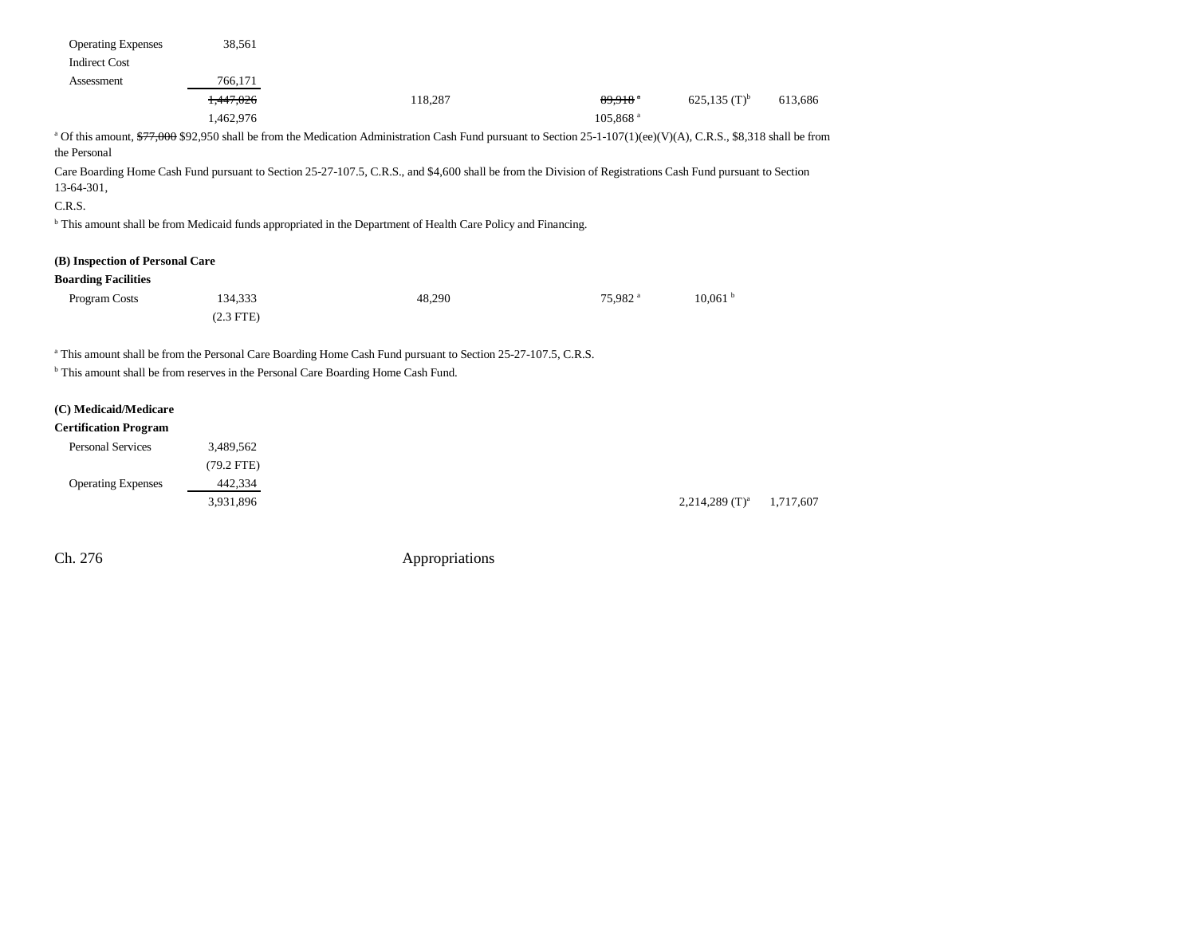| <b>Operating Expenses</b> | 38.561    |                                                                                                                                                                               |                       |                            |         |
|---------------------------|-----------|-------------------------------------------------------------------------------------------------------------------------------------------------------------------------------|-----------------------|----------------------------|---------|
| <b>Indirect Cost</b>      |           |                                                                                                                                                                               |                       |                            |         |
| Assessment                | 766,171   |                                                                                                                                                                               |                       |                            |         |
|                           | 1.447.026 | 118.287                                                                                                                                                                       | $89.918$ <sup>a</sup> | $625.135$ (T) <sup>b</sup> | 613.686 |
|                           | 1.462.976 |                                                                                                                                                                               | 105.868 <sup>a</sup>  |                            |         |
|                           |           | <sup>a</sup> Of this amount, \$77,000 \$92,950 shall be from the Medication Administration Cash Fund pursuant to Section 25-1-107(1)(ee)(V)(A), C.R.S., \$8,318 shall be from |                       |                            |         |

the Personal

Care Boarding Home Cash Fund pursuant to Section 25-27-107.5, C.R.S., and \$4,600 shall be from the Division of Registrations Cash Fund pursuant to Section 13-64-301,

#### C.R.S.

b This amount shall be from Medicaid funds appropriated in the Department of Health Care Policy and Financing.

#### **(B) Inspection of Personal Care**

#### **Boarding Facilities**

| Program Costs | 134,333     | 48,290 | 75,982 <sup>a</sup> | 10,061 <sup>b</sup> |
|---------------|-------------|--------|---------------------|---------------------|
|               | $(2.3$ FTE) |        |                     |                     |

<sup>a</sup> This amount shall be from the Personal Care Boarding Home Cash Fund pursuant to Section 25-27-107.5, C.R.S.

b This amount shall be from reserves in the Personal Care Boarding Home Cash Fund.

### **(C) Medicaid/Medicare**

### **Certification Program**

| <b>Personal Services</b>  | 3,489,562    |  |
|---------------------------|--------------|--|
|                           | $(79.2$ FTE) |  |
| <b>Operating Expenses</b> | 442.334      |  |
|                           | 3,931,896    |  |

2,214,289 (T)<sup>a</sup> 1,717,607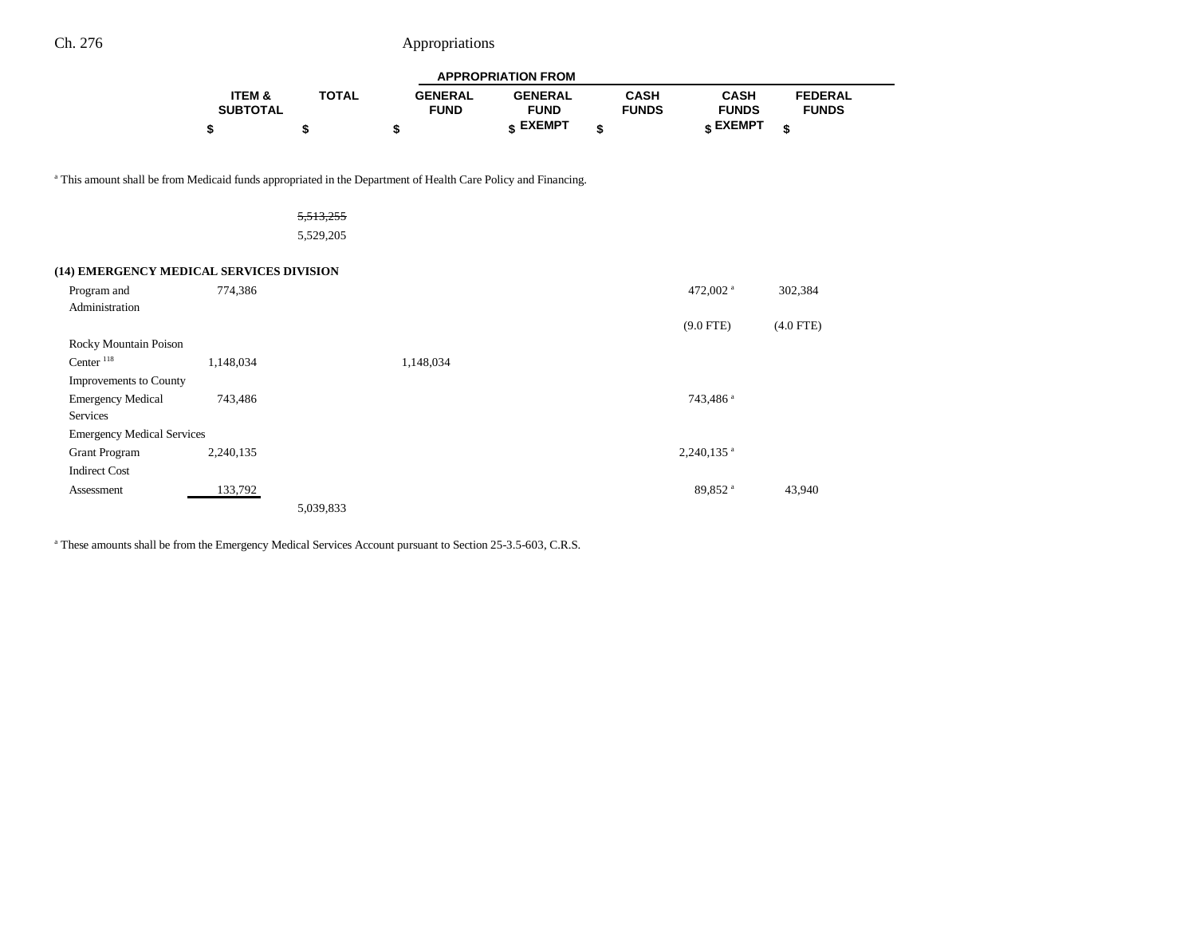|                                                                                                                           | <b>APPROPRIATION FROM</b> |              |                               |                               |                             |                             |                                |  |
|---------------------------------------------------------------------------------------------------------------------------|---------------------------|--------------|-------------------------------|-------------------------------|-----------------------------|-----------------------------|--------------------------------|--|
|                                                                                                                           | ITEM &<br><b>SUBTOTAL</b> | <b>TOTAL</b> | <b>GENERAL</b><br><b>FUND</b> | <b>GENERAL</b><br><b>FUND</b> | <b>CASH</b><br><b>FUNDS</b> | <b>CASH</b><br><b>FUNDS</b> | <b>FEDERAL</b><br><b>FUNDS</b> |  |
|                                                                                                                           | \$                        | \$           | \$                            | \$ EXEMPT                     | \$                          | \$ EXEMPT                   | \$                             |  |
| <sup>a</sup> This amount shall be from Medicaid funds appropriated in the Department of Health Care Policy and Financing. |                           |              |                               |                               |                             |                             |                                |  |
|                                                                                                                           |                           | 5,513,255    |                               |                               |                             |                             |                                |  |
|                                                                                                                           |                           | 5,529,205    |                               |                               |                             |                             |                                |  |
| (14) EMERGENCY MEDICAL SERVICES DIVISION                                                                                  |                           |              |                               |                               |                             |                             |                                |  |
| Program and                                                                                                               | 774,386                   |              |                               |                               |                             | 472,002 <sup>a</sup>        | 302,384                        |  |
| Administration                                                                                                            |                           |              |                               |                               |                             | $(9.0$ FTE)                 | $(4.0$ FTE)                    |  |
| Rocky Mountain Poison                                                                                                     |                           |              |                               |                               |                             |                             |                                |  |
| Center $118$                                                                                                              | 1,148,034                 |              | 1,148,034                     |                               |                             |                             |                                |  |
| Improvements to County                                                                                                    |                           |              |                               |                               |                             |                             |                                |  |
| <b>Emergency Medical</b><br><b>Services</b>                                                                               | 743,486                   |              |                               |                               |                             | 743,486 <sup>a</sup>        |                                |  |
| <b>Emergency Medical Services</b>                                                                                         |                           |              |                               |                               |                             |                             |                                |  |
| <b>Grant Program</b>                                                                                                      | 2,240,135                 |              |                               |                               |                             | $2,240,135$ <sup>a</sup>    |                                |  |
| <b>Indirect Cost</b>                                                                                                      |                           |              |                               |                               |                             |                             |                                |  |
| Assessment                                                                                                                | 133,792                   |              |                               |                               |                             | 89,852 <sup>a</sup>         | 43,940                         |  |
|                                                                                                                           |                           | 5,039,833    |                               |                               |                             |                             |                                |  |

<sup>a</sup> These amounts shall be from the Emergency Medical Services Account pursuant to Section 25-3.5-603, C.R.S.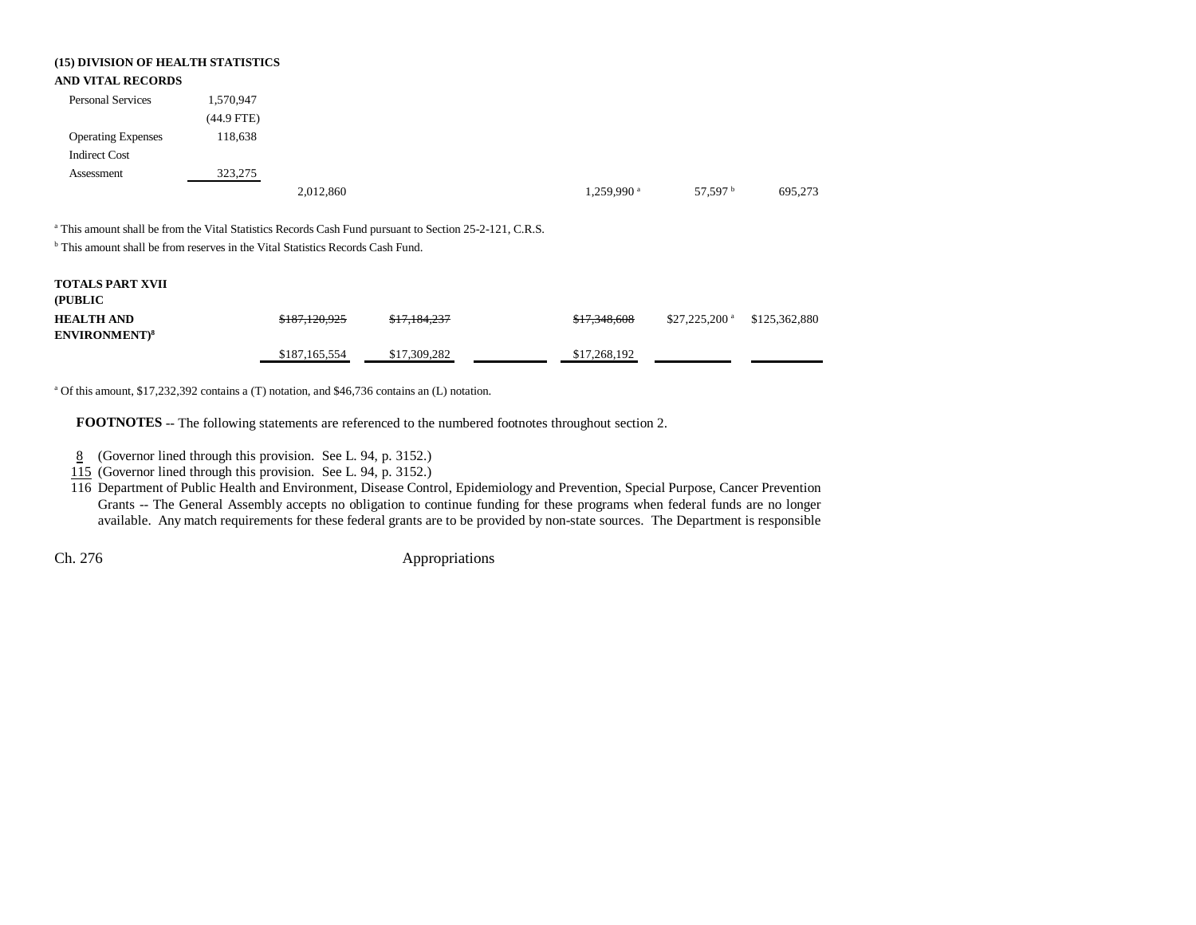| (15) DIVISION OF HEALTH STATISTICS<br><b>AND VITAL RECORDS</b>                             |              |               |                                                                                                                    |                        |                            |               |
|--------------------------------------------------------------------------------------------|--------------|---------------|--------------------------------------------------------------------------------------------------------------------|------------------------|----------------------------|---------------|
| <b>Personal Services</b>                                                                   | 1,570,947    |               |                                                                                                                    |                        |                            |               |
|                                                                                            | $(44.9$ FTE) |               |                                                                                                                    |                        |                            |               |
| <b>Operating Expenses</b>                                                                  | 118,638      |               |                                                                                                                    |                        |                            |               |
| <b>Indirect Cost</b>                                                                       |              |               |                                                                                                                    |                        |                            |               |
| Assessment                                                                                 | 323,275      |               |                                                                                                                    |                        |                            |               |
|                                                                                            |              | 2,012,860     |                                                                                                                    | 1,259,990 <sup>a</sup> | 57,597 <sup>b</sup>        | 695,273       |
| <sup>b</sup> This amount shall be from reserves in the Vital Statistics Records Cash Fund. |              |               | <sup>a</sup> This amount shall be from the Vital Statistics Records Cash Fund pursuant to Section 25-2-121, C.R.S. |                        |                            |               |
| <b>TOTALS PART XVII</b><br>(PUBLIC                                                         |              |               |                                                                                                                    |                        |                            |               |
| <b>HEALTH AND</b><br><b>ENVIRONMENT)8</b>                                                  |              | \$187.120.925 | \$17.184.237                                                                                                       | \$17,348,608           | $$27,225,200$ <sup>a</sup> | \$125,362,880 |
|                                                                                            |              | \$187,165,554 | \$17,309,282                                                                                                       | \$17,268,192           |                            |               |

<sup>a</sup> Of this amount, \$17,232,392 contains a (T) notation, and \$46,736 contains an (L) notation.

**FOOTNOTES** -- The following statements are referenced to the numbered footnotes throughout section 2.

8 (Governor lined through this provision. See L. 94, p. 3152.)

115 (Governor lined through this provision. See L. 94, p. 3152.)

116 Department of Public Health and Environment, Disease Control, Epidemiology and Prevention, Special Purpose, Cancer Prevention Grants -- The General Assembly accepts no obligation to continue funding for these programs when federal funds are no longer available. Any match requirements for these federal grants are to be provided by non-state sources. The Department is responsible